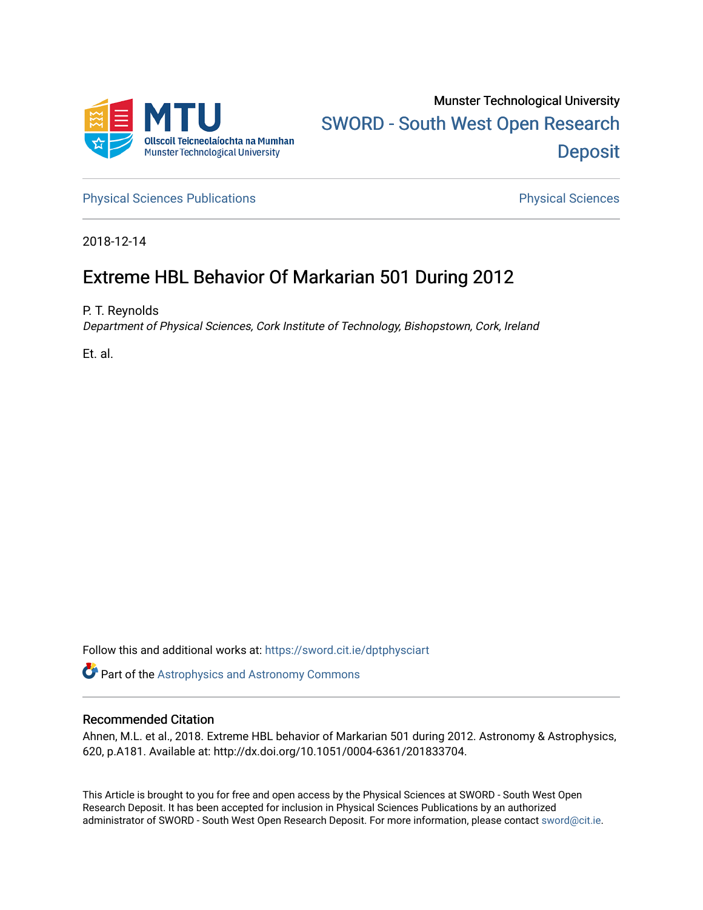

[Physical Sciences Publications](https://sword.cit.ie/dptphysciart) **Physical Sciences** Physical Sciences

2018-12-14

# Extreme HBL Behavior Of Markarian 501 During 2012

P. T. Reynolds

Department of Physical Sciences, Cork Institute of Technology, Bishopstown, Cork, Ireland

Et. al.

Follow this and additional works at: [https://sword.cit.ie/dptphysciart](https://sword.cit.ie/dptphysciart?utm_source=sword.cit.ie%2Fdptphysciart%2F20&utm_medium=PDF&utm_campaign=PDFCoverPages)

Part of the [Astrophysics and Astronomy Commons](http://network.bepress.com/hgg/discipline/123?utm_source=sword.cit.ie%2Fdptphysciart%2F20&utm_medium=PDF&utm_campaign=PDFCoverPages) 

# Recommended Citation

Ahnen, M.L. et al., 2018. Extreme HBL behavior of Markarian 501 during 2012. Astronomy & Astrophysics, 620, p.A181. Available at: http://dx.doi.org/10.1051/0004-6361/201833704.

This Article is brought to you for free and open access by the Physical Sciences at SWORD - South West Open Research Deposit. It has been accepted for inclusion in Physical Sciences Publications by an authorized administrator of SWORD - South West Open Research Deposit. For more information, please contact [sword@cit.ie.](mailto:sword@cit.ie)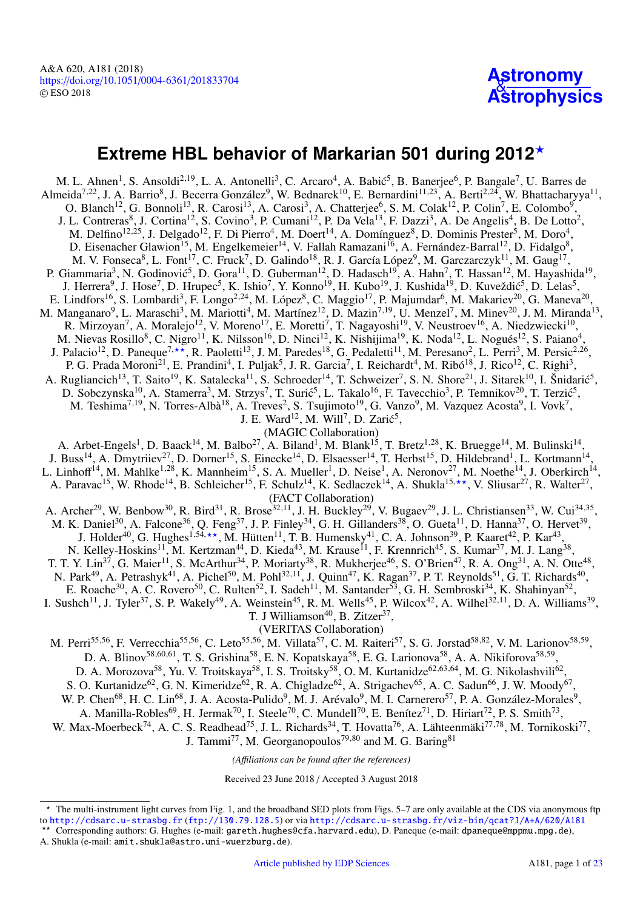# **Astronomy [Astrophysics](https://www.aanda.org)**

# <span id="page-1-0"></span>**Extreme HBL behavior of Markarian 501 during 2012**?

M. L. Ahnen<sup>[1](#page-19-0)</sup>, S. Ansoldi<sup>[2](#page-19-1)[,19](#page-19-2)</sup>, L. A. Antonelli<sup>[3](#page-19-3)</sup>, C. Arcaro<sup>[4](#page-19-4)</sup>, A. Babić<sup>[5](#page-19-5)</sup>, B. Banerjee<sup>[6](#page-19-6)</sup>, P. Bangale<sup>[7](#page-19-7)</sup>, U. Barres de Almeida<sup>[7](#page-19-7)[,22](#page-19-8)</sup>, J. A. Barrio<sup>[8](#page-19-9)</sup>, J. Becerra González<sup>[9](#page-19-10)</sup>, W. Bednarek<sup>[10](#page-19-11)</sup>, E. Bernardini<sup>[11](#page-19-12)[,23](#page-19-13)</sup>, A. Berti<sup>[2](#page-19-1)[,24](#page-19-14)</sup>, W. Bhattacharyya<sup>11</sup>, O. Blanch<sup>[12](#page-19-15)</sup>, G. Bonnoli<sup>[13](#page-19-16)</sup>, R. Carosi<sup>1[3](#page-19-3)</sup>, A. Carosi<sup>3</sup>, A. Chatterjee<sup>[6](#page-19-6)</sup>, S. M. Colak<sup>12</sup>, P. Colin<sup>[7](#page-19-7)</sup>, E. Colombo<sup>[9](#page-19-10)</sup>, J. L. Contreras<sup>[8](#page-19-9)</sup>, J. Cortina<sup>[12](#page-19-15)</sup>, S. Covino<sup>[3](#page-19-3)</sup>, P. Cumani<sup>12</sup>, P. Da Vela<sup>[13](#page-19-16)</sup>, F. Dazzi<sup>3</sup>, A. De Angelis<sup>[4](#page-19-4)</sup>, B. De Lotto<sup>[2](#page-19-1)</sup>, M. Delfino<sup>[12](#page-19-15)[,25](#page-19-17)</sup>, J. Delgado<sup>12</sup>, F. Di Pierro<sup>[4](#page-19-4)</sup>, M. Doert<sup>[14](#page-19-18)</sup>, A. Domínguez<sup>[8](#page-19-9)</sup>, D. Dominis Prester<sup>[5](#page-19-5)</sup>, M. Doro<sup>4</sup>, D. Eisenacher Glawion<sup>[15](#page-19-19)</sup>, M. Engelkemeier<sup>[14](#page-19-18)</sup>, V. Fallah Ramazani<sup>[16](#page-19-20)</sup>, A. Fernández-Barral<sup>[12](#page-19-15)</sup>, D. Fidalgo<sup>[8](#page-19-9)</sup>, M. V. Fonseca<sup>[8](#page-19-9)</sup>, L. Font<sup>[17](#page-19-21)</sup>, C. Fruck<sup>[7](#page-19-7)</sup>, D. Galindo<sup>[18](#page-19-22)</sup>, R. J. García López<sup>[9](#page-19-10)</sup>, M. Garczarczyk<sup>[11](#page-19-12)</sup>, M. Gaug<sup>17</sup>, P. Giammaria<sup>[3](#page-19-3)</sup>, N. Godinović<sup>[5](#page-19-5)</sup>, D. Gora<sup>[11](#page-19-12)</sup>, D. Guberman<sup>[12](#page-19-15)</sup>, D. Hadasch<sup>[19](#page-19-2)</sup>, A. Hahn<sup>[7](#page-19-7)</sup>, T. Hassan<sup>12</sup>, M. Hayashida<sup>19</sup>, J. Herrera<sup>[9](#page-19-10)</sup>, J. Hose<sup>[7](#page-19-7)</sup>, D. Hrupec<sup>[5](#page-19-5)</sup>, K. Ishio<sup>7</sup>, Y. Konno<sup>[19](#page-19-2)</sup>, H. Kubo<sup>19</sup>, J. Kushida<sup>19</sup>, D. Kuveždić<sup>5</sup>, D. Lelas<sup>5</sup>, E. Lindfors<sup>[16](#page-19-20)</sup>, S. Lombardi<sup>[3](#page-19-3)</sup>, F. Longo<sup>[2](#page-19-1)[,24](#page-19-14)</sup>, M. López<sup>[8](#page-19-9)</sup>, C. Maggio<sup>[17](#page-19-21)</sup>, P. Majumdar<sup>[6](#page-19-6)</sup>, M. Makariev<sup>[20](#page-19-23)</sup>, G. Maneva<sup>20</sup>, M. Manganaro<sup>[9](#page-19-10)</sup>, L. Maraschi<sup>[3](#page-19-3)</sup>, M. Mariotti<sup>[4](#page-19-4)</sup>, M. Martínez<sup>[12](#page-19-15)</sup>, D. Mazin<sup>[7](#page-19-7)[,19](#page-19-2)</sup>, U. Menzel<sup>7</sup>, M. Minev<sup>[20](#page-19-23)</sup>, J. M. Miranda<sup>[13](#page-19-16)</sup>, R. Mirzoyan<sup>[7](#page-19-7)</sup>, A. Moralejo<sup>[12](#page-19-15)</sup>, V. Moreno<sup>[17](#page-19-21)</sup>, E. Moretti<sup>7</sup>, T. Nagayoshi<sup>[19](#page-19-2)</sup>, V. Neustroev<sup>[16](#page-19-20)</sup>, A. Niedzwiecki<sup>[10](#page-19-11)</sup>, M. Nievas Rosillo<sup>[8](#page-19-9)</sup>, C. Nigro<sup>[11](#page-19-12)</sup>, K. Nilsson<sup>[16](#page-19-20)</sup>, D. Ninci<sup>[12](#page-19-15)</sup>, K. Nishijima<sup>[19](#page-19-2)</sup>, K. Noda<sup>12</sup>, L. Nogués<sup>12</sup>, S. Paiano<sup>[4](#page-19-4)</sup>, J. Palacio<sup>[12](#page-19-15)</sup>, D. Paneque<sup>7,\*\*</sup>, R. Paoletti<sup>[13](#page-19-16)</sup>, J. M. Paredes<sup>[18](#page-19-22)</sup>, G. Pedaletti<sup>[11](#page-19-12)</sup>, M. Peresano<sup>[2](#page-19-1)</sup>, L. Perri<sup>[3](#page-19-3)</sup>, M. Persic<sup>2[,26](#page-19-24)</sup>, P. G. Prada Moroni<sup>[21](#page-19-25)</sup>, E. Prandini<sup>[4](#page-19-4)</sup>, I. Puljak<sup>[5](#page-19-5)</sup>, J. R. Garcia<sup>[7](#page-19-7)</sup>, I. Reichardt<sup>4</sup>, M. Ribó<sup>[18](#page-19-22)</sup>, J. Rico<sup>[12](#page-19-15)</sup>, C. Righi<sup>[3](#page-19-3)</sup>, A. Rugliancich<sup>[13](#page-19-16)</sup>, T. Saito<sup>[19](#page-19-2)</sup>, K. Satalecka<sup>[11](#page-19-12)</sup>, S. Schroeder<sup>[14](#page-19-18)</sup>, T. Schweizer<sup>[7](#page-19-7)</sup>, S. N. Shore<sup>[21](#page-19-25)</sup>, J. Sitarek<sup>[10](#page-19-11)</sup>, I. Šnidarić<sup>[5](#page-19-5)</sup>, D. Sobczynska<sup>[10](#page-19-11)</sup>, A. Stamerra<sup>[3](#page-19-3)</sup>, M. Strzys<sup>[7](#page-19-7)</sup>, T. Surić<sup>[5](#page-19-5)</sup>, L. Takalo<sup>[16](#page-19-20)</sup>, F. Tavecchio<sup>3</sup>, P. Temnikov<sup>[20](#page-19-23)</sup>, T. Terzić<sup>5</sup>, M. Teshima<sup>[7](#page-19-7)[,19](#page-19-2)</sup>, N. Torres-Albà<sup>[18](#page-19-22)</sup>, A. Treves<sup>[2](#page-19-1)</sup>, S. Tsujimoto<sup>[19](#page-19-2)</sup>, G. Vanzo<sup>[9](#page-19-10)</sup>, M. Vazquez Acosta<sup>9</sup>, I. Vovk<sup>7</sup>, J. E. Ward<sup>[12](#page-19-15)</sup>, M. Will<sup>[7](#page-19-7)</sup>, D. Zarić<sup>[5](#page-19-5)</sup>, (MAGIC Collaboration) A. Arbet-Engels<sup>[1](#page-19-0)</sup>, D. Baack<sup>[14](#page-19-18)</sup>, M. Balbo<sup>[27](#page-19-26)</sup>, A. Biland<sup>1</sup>, M. Blank<sup>[15](#page-19-19)</sup>, T. Bretz<sup>1[,28](#page-19-27)</sup>, K. Bruegge<sup>14</sup>, M. Bulinski<sup>14</sup>, J. Buss<sup>[14](#page-19-18)</sup>, A. Dmytriiev<sup>[27](#page-19-26)</sup>, D. Dorner<sup>[15](#page-19-19)</sup>, S. Einecke<sup>[1](#page-19-0)4</sup>, D. Elsaesser<sup>14</sup>, T. Herbst<sup>15</sup>, D. Hildebrand<sup>1</sup>, L. Kortmann<sup>14</sup>, L. Linhoff<sup>[14](#page-19-18)</sup>, M. Mahlke<sup>[1](#page-19-0)[,28](#page-19-27)</sup>, K. Mannheim<sup>[15](#page-19-19)</sup>, S. A. Mueller<sup>1</sup>, D. Neise<sup>1</sup>, A. Neronov<sup>[27](#page-19-26)</sup>, M. Noethe<sup>14</sup>, J. Oberkirch<sup>14</sup>, A. Paravac<sup>[15](#page-19-19)</sup>, W. Rhode<sup>[14](#page-19-18)</sup>, B. Schleicher<sup>15</sup>, F. Schulz<sup>14</sup>, K. Sedlaczek<sup>14</sup>, A. Shukla<sup>15,\*\*</sup>, V. Sliusar<sup>[27](#page-19-26)</sup>, R. Walter<sup>27</sup>, (FACT Collaboration) A. Archer<sup>[29](#page-19-28)</sup>, W. Benbow<sup>[30](#page-19-29)</sup>, R. Bird<sup>[31](#page-19-30)</sup>, R. Brose<sup>[32](#page-19-31)[,11](#page-19-12)</sup>, J. H. Buckley<sup>29</sup>, V. Bugaev<sup>29</sup>, J. L. Christiansen<sup>[33](#page-19-32)</sup>, W. Cui<sup>[34](#page-19-33)[,35](#page-19-34)</sup>, M. K. Daniel<sup>[30](#page-19-29)</sup>, A. Falcone<sup>[36](#page-19-35)</sup>, Q. Feng<sup>[37](#page-19-36)</sup>, J. P. Finley<sup>[34](#page-19-33)</sup>, G. H. Gillanders<sup>[38](#page-19-37)</sup>, O. Gueta<sup>[11](#page-19-12)</sup>, D. Hanna<sup>37</sup>, O. Hervet<sup>[39](#page-19-38)</sup>, J. Holder<sup>[40](#page-19-39)</sup>, G. Hughes<sup>[1,](#page-19-0)54,\*\*</sup>, M. Hütten<sup>[11](#page-19-12)</sup>, T. B. Humensky<sup>[41](#page-19-40)</sup>, C. A. Johnson<sup>[39](#page-19-38)</sup>, P. Kaaret<sup>[42](#page-19-41)</sup>, P. Kar<sup>[43](#page-19-42)</sup>, N. Kelley-Hoskins<sup>[11](#page-19-12)</sup>, M. Kertzman<sup>[44](#page-19-43)</sup>, D. Kieda<sup>[43](#page-19-42)</sup>, M. Krause<sup>11</sup>, F. Krennrich<sup>[45](#page-19-44)</sup>, S. Kumar<sup>[37](#page-19-36)</sup>, M. J. Lang<sup>[38](#page-19-37)</sup>, T. T. Y. Lin<sup>[37](#page-19-36)</sup>, G. Maier<sup>[11](#page-19-12)</sup>, S. McArthur<sup>[34](#page-19-33)</sup>, P. Moriarty<sup>[38](#page-19-37)</sup>, R. Mukherjee<sup>[46](#page-19-45)</sup>, S. O'Brien<sup>[47](#page-19-46)</sup>, R. A. Ong<sup>[31](#page-19-30)</sup>, A. N. Otte<sup>[48](#page-19-47)</sup>, N. Park<sup>[49](#page-19-48)</sup>, A. Petrashyk<sup>[41](#page-19-40)</sup>, A. Pichel<sup>[50](#page-19-49)</sup>, M. Pohl<sup>[32](#page-19-31)[,11](#page-19-12)</sup>, J. Quinn<sup>[47](#page-19-46)</sup>, K. Ragan<sup>[37](#page-19-36)</sup>, P. T. Reynolds<sup>[51](#page-19-50)</sup>, G. T. Richards<sup>[40](#page-19-39)</sup>, E. Roache<sup>[30](#page-19-29)</sup>, A. C. Rovero<sup>[50](#page-19-49)</sup>, C. Rulten<sup>[52](#page-19-51)</sup>, I. Sadeh<sup>[11](#page-19-12)</sup>, M. Santander<sup>[53](#page-19-52)</sup>, G. H. Sembroski<sup>[34](#page-19-33)</sup>, K. Shahinyan<sup>52</sup>, I. Sushch<sup>[11](#page-19-12)</sup>, J. Tyler<sup>[37](#page-19-36)</sup>, S. P. Wakely<sup>[49](#page-19-48)</sup>, A. Weinstein<sup>[45](#page-19-44)</sup>, R. M. Wells<sup>45</sup>, P. Wilcox<sup>[42](#page-19-41)</sup>, A. Wilhel<sup>[32](#page-19-31)[,11](#page-19-12)</sup>, D. A. Williams<sup>[39](#page-19-38)</sup>, T. J Williamson<sup>[40](#page-19-39)</sup>, B. Zitzer<sup>[37](#page-19-36)</sup>, (VERITAS Collaboration) M. Perri<sup>[55](#page-19-53)[,56](#page-19-54)</sup>, F. Verrecchia<sup>55,56</sup>, C. Leto<sup>55,56</sup>, M. Villata<sup>[57](#page-19-55)</sup>, C. M. Raiteri<sup>57</sup>, S. G. Jorstad<sup>[58](#page-19-56)[,82](#page-20-0)</sup>, V. M. Larionov<sup>58[,59](#page-19-57)</sup>, D. A. Blinov<sup>[58](#page-19-56)[,60](#page-19-58)[,61](#page-19-59)</sup>, T. S. Grishina<sup>58</sup>, E. N. Kopatskaya<sup>58</sup>, E. G. Larionova<sup>58</sup>, A. A. Nikiforova<sup>58[,59](#page-19-57)</sup>, D. A. Morozova<sup>[58](#page-19-56)</sup>, Yu. V. Troitskaya<sup>58</sup>, I. S. Troitsky<sup>58</sup>, O. M. Kurtanidze<sup>[62](#page-19-60)[,63](#page-19-61)[,64](#page-19-62)</sup>, M. G. Nikolashvili<sup>62</sup>, S. O. Kurtanidze<sup>[62](#page-19-60)</sup>, G. N. Kimeridze<sup>62</sup>, R. A. Chigladze<sup>62</sup>, A. Strigachev<sup>[65](#page-19-63)</sup>, A. C. Sadun<sup>[66](#page-19-64)</sup>, J. W. Moody<sup>[67](#page-20-1)</sup>, W. P. Chen<sup>[68](#page-20-2)</sup>, H. C. Lin<sup>68</sup>, J. A. Acosta-Pulido<sup>[9](#page-19-10)</sup>, M. J. Arévalo<sup>9</sup>, M. I. Carnerero<sup>[57](#page-19-55)</sup>, P. A. González-Morales<sup>9</sup>, A. Manilla-Robles<sup>[69](#page-20-3)</sup>, H. Jermak<sup>[70](#page-20-4)</sup>, I. Steele<sup>70</sup>, C. Mundell<sup>70</sup>, E. Benítez<sup>[71](#page-20-5)</sup>, D. Hiriart<sup>[72](#page-20-6)</sup>, P. S. Smith<sup>[73](#page-20-7)</sup>, W. Max-Moerbeck<sup>[74](#page-20-8)</sup>, A. C. S. Readhead<sup>[75](#page-20-9)</sup>, J. L. Richards<sup>[34](#page-19-33)</sup>, T. Hovatta<sup>[76](#page-20-10)</sup>, A. Lähteenmäki<sup>[77](#page-20-11)[,78](#page-20-12)</sup>, M. Tornikoski<sup>77</sup>, J. Tammi<sup>[77](#page-20-11)</sup>, M. Georganopoulos<sup>[79](#page-20-13)[,80](#page-20-14)</sup> and M. G. Baring<sup>[81](#page-20-15)</sup>

*(A*ffi*liations can be found after the references)*

Received 23 June 2018 / Accepted 3 August 2018

\*\* Corresponding authors: G. Hughes (e-mail: gareth.hughes@cfa.harvard.edu), D. Paneque (e-mail: dpaneque@mppmu.mpg.de), A. Shukla (e-mail: amit.shukla@astro.uni-wuerzburg.de).

<sup>?</sup> The multi-instrument light curves from Fig. 1, and the broadband SED plots from Figs. 5–7 are only available at the CDS via anonymous ftp to <http://cdsarc.u-strasbg.fr> (<ftp://130.79.128.5>) or via <http://cdsarc.u-strasbg.fr/viz-bin/qcat?J/A+A/620/A181>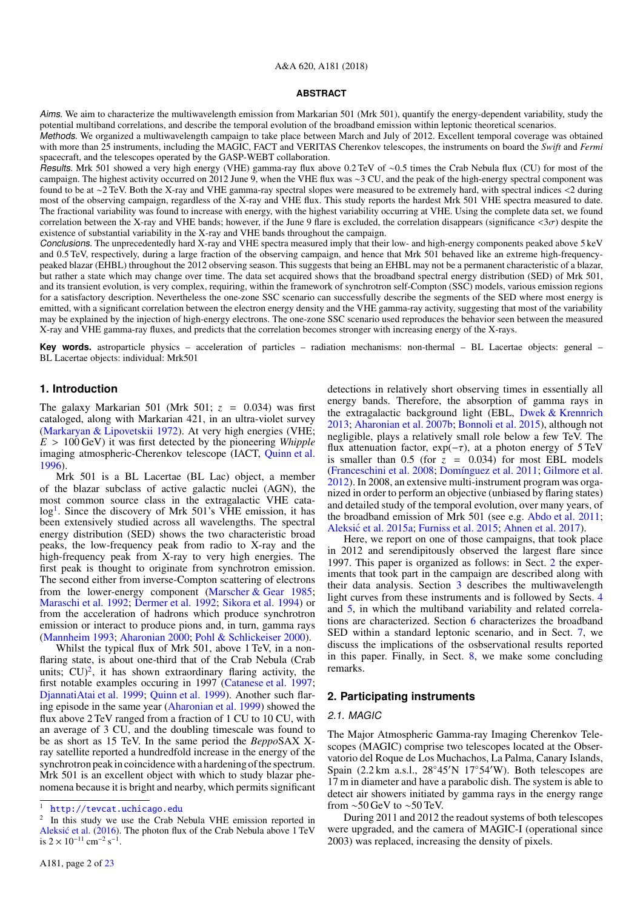#### A&A 620, A181 (2018)

#### **ABSTRACT**

Aims. We aim to characterize the multiwavelength emission from Markarian 501 (Mrk 501), quantify the energy-dependent variability, study the potential multiband correlations, and describe the temporal evolution of the broadband emission within leptonic theoretical scenarios.

Methods. We organized a multiwavelength campaign to take place between March and July of 2012. Excellent temporal coverage was obtained with more than 25 instruments, including the MAGIC, FACT and VERITAS Cherenkov telescopes, the instruments on board the *Swift* and *Fermi* spacecraft, and the telescopes operated by the GASP-WEBT collaboration.

Results. Mrk 501 showed a very high energy (VHE) gamma-ray flux above 0.2 TeV of ∼0.5 times the Crab Nebula flux (CU) for most of the campaign. The highest activity occurred on 2012 June 9, when the VHE flux was ∼3 CU, and the peak of the high-energy spectral component was found to be at <sup>∼</sup>2 TeV. Both the X-ray and VHE gamma-ray spectral slopes were measured to be extremely hard, with spectral indices <2 during most of the observing campaign, regardless of the X-ray and VHE flux. This study reports the hardest Mrk 501 VHE spectra measured to date. The fractional variability was found to increase with energy, with the highest variability occurring at VHE. Using the complete data set, we found correlation between the X-ray and VHE bands; however, if the June 9 flare is excluded, the correlation disappears (significance  $\langle 3\sigma \rangle$ ) despite the existence of substantial variability in the X-ray and VHE bands throughout the campaign.

Conclusions. The unprecedentedly hard X-ray and VHE spectra measured imply that their low- and high-energy components peaked above 5 keV and 0.5 TeV, respectively, during a large fraction of the observing campaign, and hence that Mrk 501 behaved like an extreme high-frequencypeaked blazar (EHBL) throughout the 2012 observing season. This suggests that being an EHBL may not be a permanent characteristic of a blazar, but rather a state which may change over time. The data set acquired shows that the broadband spectral energy distribution (SED) of Mrk 501, and its transient evolution, is very complex, requiring, within the framework of synchrotron self-Compton (SSC) models, various emission regions for a satisfactory description. Nevertheless the one-zone SSC scenario can successfully describe the segments of the SED where most energy is emitted, with a significant correlation between the electron energy density and the VHE gamma-ray activity, suggesting that most of the variability may be explained by the injection of high-energy electrons. The one-zone SSC scenario used reproduces the behavior seen between the measured X-ray and VHE gamma-ray fluxes, and predicts that the correlation becomes stronger with increasing energy of the X-rays.

**Key words.** astroparticle physics – acceleration of particles – radiation mechanisms: non-thermal – BL Lacertae objects: general – BL Lacertae objects: individual: Mrk501

#### **1. Introduction**

The galaxy Markarian 501 (Mrk 501;  $z = 0.034$ ) was first cataloged, along with Markarian 421, in an ultra-violet survey [\(Markaryan & Lipovetskii](#page-18-0) [1972\)](#page-18-0). At very high energies (VHE;  $E > 100 \,\text{GeV}$ ) it was first detected by the pioneering *Whipple* imaging atmospheric-Cherenkov telescope (IACT, [Quinn et al.](#page-18-1) [1996\)](#page-18-1).

Mrk 501 is a BL Lacertae (BL Lac) object, a member of the blazar subclass of active galactic nuclei (AGN), the most common source class in the extragalactic VHE cata-log<sup>[1](#page-2-0)</sup>. Since the discovery of Mrk 501's VHE emission, it has been extensively studied across all wavelengths. The spectral energy distribution (SED) shows the two characteristic broad peaks, the low-frequency peak from radio to X-ray and the high-frequency peak from X-ray to very high energies. The first peak is thought to originate from synchrotron emission. The second either from inverse-Compton scattering of electrons from the lower-energy component [\(Marscher & Gear](#page-18-2) [1985;](#page-18-2) [Maraschi et al.](#page-18-3) [1992;](#page-18-3) [Dermer et al.](#page-18-4) [1992;](#page-18-4) [Sikora et al.](#page-18-5) [1994\)](#page-18-5) or from the acceleration of hadrons which produce synchrotron emission or interact to produce pions and, in turn, gamma rays [\(Mannheim](#page-18-6) [1993;](#page-18-6) [Aharonian](#page-18-7) [2000;](#page-18-7) [Pohl & Schlickeiser](#page-18-8) [2000\)](#page-18-8).

Whilst the typical flux of Mrk 501, above 1 TeV, in a nonflaring state, is about one-third that of the Crab Nebula (Crab units;  $CU)^2$  $CU)^2$ , it has shown extraordinary flaring activity, the first notable examples occuring in 1997 [\(Catanese et al.](#page-18-9) [1997;](#page-18-9) [DjannatiAtai et al.](#page-18-10) [1999;](#page-18-10) [Quinn et al.](#page-18-11) [1999\)](#page-18-11). Another such flaring episode in the same year [\(Aharonian et al.](#page-18-12) [1999\)](#page-18-12) showed the flux above 2 TeV ranged from a fraction of 1 CU to 10 CU, with an average of 3 CU, and the doubling timescale was found to be as short as 15 TeV. In the same period the *Beppo*SAX Xray satellite reported a hundredfold increase in the energy of the synchrotron peak in coincidence with a hardening of the spectrum. Mrk 501 is an excellent object with which to study blazar phenomena because it is bright and nearby, which permits significant detections in relatively short observing times in essentially all energy bands. Therefore, the absorption of gamma rays in the extragalactic background light (EBL, [Dwek & Krennrich](#page-18-14) [2013;](#page-18-14) [Aharonian et al.](#page-18-15) [2007b;](#page-18-15) [Bonnoli et al.](#page-18-16) [2015\)](#page-18-16), although not negligible, plays a relatively small role below a few TeV. The flux attenuation factor,  $exp(-\tau)$ , at a photon energy of 5 TeV is smaller than  $0.5$  (for  $\overline{z} = 0.034$ ) for most EBL models [\(Franceschini et al.](#page-18-17) [2008;](#page-18-17) [Domínguez et al.](#page-18-18) [2011;](#page-18-18) [Gilmore et al.](#page-18-19) [2012\)](#page-18-19). In 2008, an extensive multi-instrument program was organized in order to perform an objective (unbiased by flaring states) and detailed study of the temporal evolution, over many years, of the broadband emission of Mrk 501 (see e.g. [Abdo et al.](#page-18-20) [2011;](#page-18-20) Aleksić et al. [2015a;](#page-18-21) [Furniss et al.](#page-18-22) [2015;](#page-18-22) [Ahnen et al.](#page-18-23) [2017\)](#page-18-23).

Here, we report on one of those campaigns, that took place in 2012 and serendipitously observed the largest flare since 1997. This paper is organized as follows: in Sect. [2](#page-2-2) the experiments that took part in the campaign are described along with their data analysis. Section [3](#page-5-0) describes the multiwavelength light curves from these instruments and is followed by Sects. [4](#page-5-1) and [5,](#page-8-0) in which the multiband variability and related correlations are characterized. Section [6](#page-9-0) characterizes the broadband SED within a standard leptonic scenario, and in Sect. [7,](#page-14-0) we discuss the implications of the osbservational results reported in this paper. Finally, in Sect. [8,](#page-17-0) we make some concluding remarks.

#### <span id="page-2-2"></span>**2. Participating instruments**

#### 2.1. MAGIC

The Major Atmospheric Gamma-ray Imaging Cherenkov Telescopes (MAGIC) comprise two telescopes located at the Observatorio del Roque de Los Muchachos, La Palma, Canary Islands, Spain  $(2.2 \text{ km } a.s.1., 28°45'N 17°54'W)$ . Both telescopes are 17 m in diameter and have a parabolic dish. The system is able to detect air showers initiated by gamma rays in the energy range from  $\sim$ 50 GeV to  $\sim$ 50 TeV.

During 2011 and 2012 the readout systems of both telescopes were upgraded, and the camera of MAGIC-I (operational since 2003) was replaced, increasing the density of pixels.

<span id="page-2-0"></span><sup>1</sup> <http://tevcat.uchicago.edu>

<span id="page-2-1"></span><sup>2</sup> In this study we use the Crab Nebula VHE emission reported in Aleksić et al. [\(2016\)](#page-18-13). The photon flux of the Crab Nebula above 1 TeV is  $2 \times 10^{-11}$  cm<sup>-2</sup> s<sup>-1</sup>.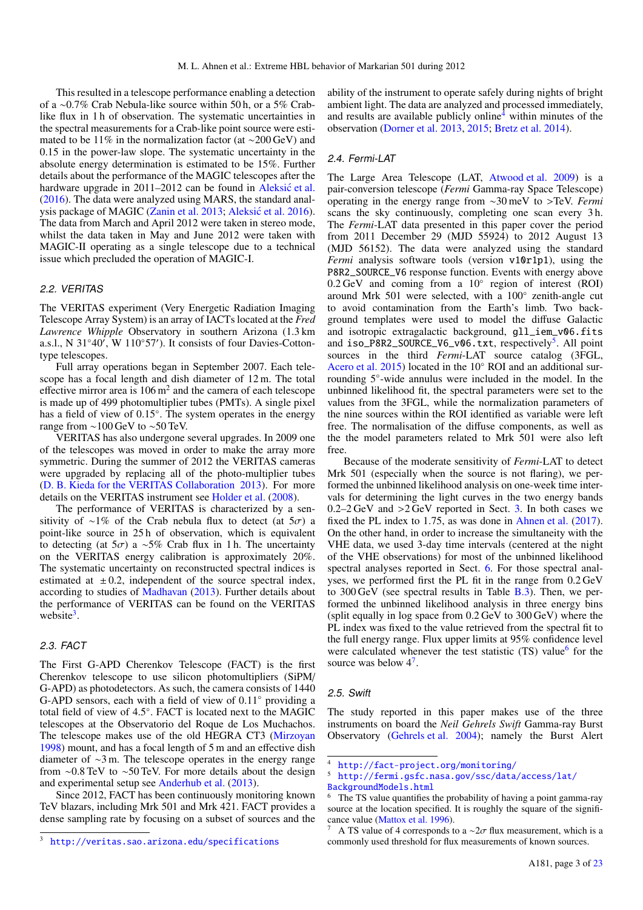This resulted in a telescope performance enabling a detection of a ∼0.7% Crab Nebula-like source within 50 h, or a 5% Crablike flux in 1 h of observation. The systematic uncertainties in the spectral measurements for a Crab-like point source were estimated to be 11% in the normalization factor (at ∼200 GeV) and 0.15 in the power-law slope. The systematic uncertainty in the absolute energy determination is estimated to be 15%. Further details about the performance of the MAGIC telescopes after the hardware upgrade in 2011–2012 can be found in [Aleksic et al.](#page-18-13) [\(2016\)](#page-18-13). The data were analyzed using MARS, the standard anal-ysis package of MAGIC [\(Zanin et al.](#page-19-65) [2013;](#page-19-65) Aleksić et al. [2016\)](#page-18-13). The data from March and April 2012 were taken in stereo mode, whilst the data taken in May and June 2012 were taken with MAGIC-II operating as a single telescope due to a technical issue which precluded the operation of MAGIC-I.

## 2.2. VERITAS

The VERITAS experiment (Very Energetic Radiation Imaging Telescope Array System) is an array of IACTs located at the *Fred Lawrence Whipple* Observatory in southern Arizona (1.3 km a.s.l., N 31°40', W 110°57'). It consists of four Davies-Cottontype telescopes.

Full array operations began in September 2007. Each telescope has a focal length and dish diameter of 12 m. The total effective mirror area is  $106 \text{ m}^2$  and the camera of each telescope is made up of 499 photomultiplier tubes (PMTs). A single pixel has a field of view of 0.15◦ . The system operates in the energy range from ∼100 GeV to ∼50 TeV.

VERITAS has also undergone several upgrades. In 2009 one of the telescopes was moved in order to make the array more symmetric. During the summer of 2012 the VERITAS cameras were upgraded by replacing all of the photo-multiplier tubes [\(D. B. Kieda for the VERITAS Collaboration](#page-18-24) [2013\)](#page-18-24). For more details on the VERITAS instrument see [Holder et al.](#page-18-25) [\(2008\)](#page-18-25).

The performance of VERITAS is characterized by a sensitivity of ∼1% of the Crab nebula flux to detect (at  $5\sigma$ ) a point-like source in 25 h of observation, which is equivalent to detecting (at  $5\sigma$ ) a ∼5% Crab flux in 1 h. The uncertainty on the VERITAS energy calibration is approximately 20%. The systematic uncertainty on reconstructed spectral indices is estimated at  $\pm 0.2$ , independent of the source spectral index, according to studies of [Madhavan](#page-18-26) [\(2013\)](#page-18-26). Further details about the performance of VERITAS can be found on the VERITAS website<sup>[3](#page-3-0)</sup>.

## 2.3. FACT

The First G-APD Cherenkov Telescope (FACT) is the first Cherenkov telescope to use silicon photomultipliers (SiPM/ G-APD) as photodetectors. As such, the camera consists of 1440 G-APD sensors, each with a field of view of 0.11◦ providing a total field of view of 4.5◦ . FACT is located next to the MAGIC telescopes at the Observatorio del Roque de Los Muchachos. The telescope makes use of the old HEGRA CT3 [\(Mirzoyan](#page-18-27) [1998\)](#page-18-27) mount, and has a focal length of 5 m and an effective dish diameter of ∼3 m. The telescope operates in the energy range from ∼0.8 TeV to ∼50 TeV. For more details about the design and experimental setup see [Anderhub et al.](#page-18-28) [\(2013\)](#page-18-28).

Since 2012, FACT has been continuously monitoring known TeV blazars, including Mrk 501 and Mrk 421. FACT provides a dense sampling rate by focusing on a subset of sources and the ability of the instrument to operate safely during nights of bright ambient light. The data are analyzed and processed immediately, and results are available publicly online[4](#page-3-1) within minutes of the observation [\(Dorner et al.](#page-18-29) [2013,](#page-18-29) [2015;](#page-18-30) [Bretz et al.](#page-18-31) [2014\)](#page-18-31).

## 2.4. Fermi-LAT

The Large Area Telescope (LAT, [Atwood et al.](#page-18-32) [2009\)](#page-18-32) is a pair-conversion telescope (*Fermi* Gamma-ray Space Telescope) operating in the energy range from <sup>∼</sup>30 meV to >TeV. *Fermi* scans the sky continuously, completing one scan every 3 h. The *Fermi*-LAT data presented in this paper cover the period from 2011 December 29 (MJD 55924) to 2012 August 13 (MJD 56152). The data were analyzed using the standard *Fermi* analysis software tools (version v10r1p1), using the P8R2\_SOURCE\_V6 response function. Events with energy above 0.2 GeV and coming from a 10° region of interest (ROI) around Mrk 501 were selected, with a 100◦ zenith-angle cut to avoid contamination from the Earth's limb. Two background templates were used to model the diffuse Galactic and isotropic extragalactic background, gll\_iem\_v06.fits and iso\_P8R2\_SOURCE\_V6\_v06.txt, respectively<sup>[5](#page-3-2)</sup>. All point sources in the third *Fermi*-LAT source catalog (3FGL, [Acero et al.](#page-18-33) [2015\)](#page-18-33) located in the 10◦ ROI and an additional surrounding 5◦ -wide annulus were included in the model. In the unbinned likelihood fit, the spectral parameters were set to the values from the 3FGL, while the normalization parameters of the nine sources within the ROI identified as variable were left free. The normalisation of the diffuse components, as well as the the model parameters related to Mrk 501 were also left free.

Because of the moderate sensitivity of *Fermi*-LAT to detect Mrk 501 (especially when the source is not flaring), we performed the unbinned likelihood analysis on one-week time intervals for determining the light curves in the two energy bands  $0.2-2 \text{ GeV}$  and  $>2 \text{ GeV}$  reported in Sect. [3.](#page-5-0) In both cases we fixed the PL index to 1.75, as was done in [Ahnen et al.](#page-18-23) [\(2017\)](#page-18-23). On the other hand, in order to increase the simultaneity with the VHE data, we used 3-day time intervals (centered at the night of the VHE observations) for most of the unbinned likelihood spectral analyses reported in Sect. [6.](#page-9-0) For those spectral analyses, we performed first the PL fit in the range from 0.2 GeV to 300 GeV (see spectral results in Table [B.3\)](#page-22-0). Then, we performed the unbinned likelihood analysis in three energy bins (split equally in log space from 0.2 GeV to 300 GeV) where the PL index was fixed to the value retrieved from the spectral fit to the full energy range. Flux upper limits at 95% confidence level were calculated whenever the test statistic (TS) value<sup>[6](#page-3-3)</sup> for the source was below  $4^7$  $4^7$ .

#### 2.5. Swift

The study reported in this paper makes use of the three instruments on board the *Neil Gehrels Swift* Gamma-ray Burst Observatory [\(Gehrels et al.](#page-18-34) [2004\)](#page-18-34); namely the Burst Alert

<span id="page-3-0"></span><sup>3</sup> <http://veritas.sao.arizona.edu/specifications>

<span id="page-3-2"></span><span id="page-3-1"></span><sup>4</sup> <http://fact-project.org/monitoring/>

<sup>5</sup> [http://fermi.gsfc.nasa.gov/ssc/data/access/lat/](http://fermi.gsfc.nasa.gov/ssc/data/access/lat/BackgroundModels.html) [BackgroundModels.html](http://fermi.gsfc.nasa.gov/ssc/data/access/lat/BackgroundModels.html)

<span id="page-3-3"></span>The TS value quantifies the probability of having a point gamma-ray source at the location specified. It is roughly the square of the significance value [\(Mattox et al.](#page-18-35) [1996\)](#page-18-35).

<span id="page-3-4"></span>A TS value of 4 corresponds to a  $\sim$ 2 $\sigma$  flux measurement, which is a commonly used threshold for flux measurements of known sources.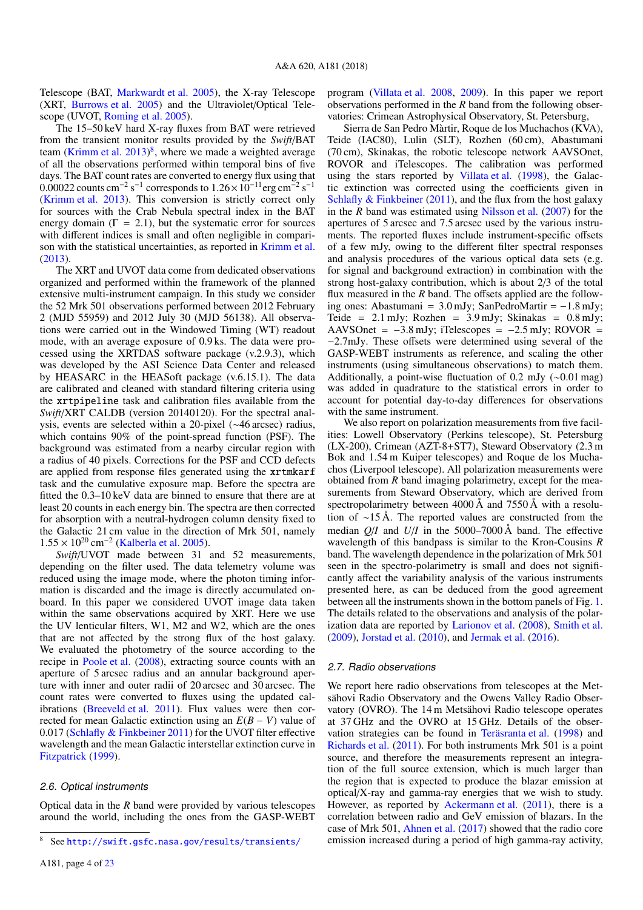Telescope (BAT, [Markwardt et al.](#page-18-36) [2005\)](#page-18-36), the X-ray Telescope (XRT, [Burrows et al.](#page-18-37) [2005\)](#page-18-37) and the Ultraviolet/Optical Telescope (UVOT, [Roming et al.](#page-18-38) [2005\)](#page-18-38).

The 15–50 keV hard X-ray fluxes from BAT were retrieved from the transient monitor results provided by the *Swift*/BAT team [\(Krimm et al.](#page-18-39) [2013\)](#page-18-39)<sup>[8](#page-4-0)</sup>, where we made a weighted average of all the observations performed within temporal bins of five days. The BAT count rates are converted to energy flux using that  $\frac{0.00022 \text{ counts cm}^{-2} \text{ s}^{-1}}{0.00022 \text{ counts cm}^{-2}}$  corresponds to  $1.26 \times 10^{-11} \text{erg cm}^{-2}$  $s^{-1}$ [\(Krimm et al.](#page-18-39) [2013\)](#page-18-39). This conversion is strictly correct only for sources with the Crab Nebula spectral index in the BAT energy domain  $(\Gamma = 2.1)$ , but the systematic error for sources with different indices is small and often negligible in comparison with the statistical uncertainties, as reported in [Krimm et al.](#page-18-39) [\(2013\)](#page-18-39).

The XRT and UVOT data come from dedicated observations organized and performed within the framework of the planned extensive multi-instrument campaign. In this study we consider the 52 Mrk 501 observations performed between 2012 February 2 (MJD 55959) and 2012 July 30 (MJD 56138). All observations were carried out in the Windowed Timing (WT) readout mode, with an average exposure of 0.9 ks. The data were processed using the XRTDAS software package (v.2.9.3), which was developed by the ASI Science Data Center and released by HEASARC in the HEASoft package (v.6.15.1). The data are calibrated and cleaned with standard filtering criteria using the xrtpipeline task and calibration files available from the *Swift*/XRT CALDB (version 20140120). For the spectral analysis, events are selected within a 20-pixel (∼46 arcsec) radius, which contains 90% of the point-spread function (PSF). The background was estimated from a nearby circular region with a radius of 40 pixels. Corrections for the PSF and CCD defects are applied from response files generated using the xrtmkarf task and the cumulative exposure map. Before the spectra are fitted the 0.3–10 keV data are binned to ensure that there are at least 20 counts in each energy bin. The spectra are then corrected for absorption with a neutral-hydrogen column density fixed to the Galactic 21 cm value in the direction of Mrk 501, namely  $1.55 \times 10^{20}$  cm<sup>-2</sup> [\(Kalberla et al.](#page-18-40) [2005\)](#page-18-40).<br>Swift/UVOT made between 31

*Swift*/UVOT made between 31 and 52 measurements, depending on the filter used. The data telemetry volume was reduced using the image mode, where the photon timing information is discarded and the image is directly accumulated onboard. In this paper we considered UVOT image data taken within the same observations acquired by XRT. Here we use the UV lenticular filters, W1, M2 and W2, which are the ones that are not affected by the strong flux of the host galaxy. We evaluated the photometry of the source according to the recipe in [Poole et al.](#page-18-41) [\(2008\)](#page-18-41), extracting source counts with an aperture of 5 arcsec radius and an annular background aperture with inner and outer radii of 20 arcsec and 30 arcsec. The count rates were converted to fluxes using the updated calibrations [\(Breeveld et al.](#page-18-42) [2011\)](#page-18-42). Flux values were then corrected for mean Galactic extinction using an *E*(*B* − *V*) value of 0.017 [\(Schlafly & Finkbeiner](#page-18-43) [2011\)](#page-18-43) for the UVOT filter effective wavelength and the mean Galactic interstellar extinction curve in [Fitzpatrick](#page-18-44) [\(1999\)](#page-18-44).

#### <span id="page-4-1"></span>2.6. Optical instruments

Optical data in the *R* band were provided by various telescopes around the world, including the ones from the GASP-WEBT program [\(Villata et al.](#page-19-66) [2008,](#page-19-66) [2009\)](#page-19-67). In this paper we report observations performed in the *R* band from the following observatories: Crimean Astrophysical Observatory, St. Petersburg,

Sierra de San Pedro Màrtir, Roque de los Muchachos (KVA), Teide (IAC80), Lulin (SLT), Rozhen (60 cm), Abastumani (70 cm), Skinakas, the robotic telescope network AAVSOnet, ROVOR and iTelescopes. The calibration was performed using the stars reported by [Villata et al.](#page-19-68) [\(1998\)](#page-19-68), the Galactic extinction was corrected using the coefficients given in Schlafly  $&$  Finkbeiner [\(2011\)](#page-18-43), and the flux from the host galaxy in the *R* band was estimated using [Nilsson et al.](#page-18-45) [\(2007\)](#page-18-45) for the apertures of 5 arcsec and 7.5 arcsec used by the various instruments. The reported fluxes include instrument-specific offsets of a few mJy, owing to the different filter spectral responses and analysis procedures of the various optical data sets (e.g. for signal and background extraction) in combination with the strong host-galaxy contribution, which is about 2/3 of the total flux measured in the *R* band. The offsets applied are the following ones: Abastumani =  $3.0$  mJy; SanPedroMartir =  $-1.8$  mJy; Teide =  $2.1 \text{ mJy}$ ; Rozhen =  $3.9 \text{ mJy}$ ; Skinakas =  $0.8 \text{ mJy}$ ; AAVSOnet =  $-3.8$  mJy; iTelescopes =  $-2.5$  mJy; ROVOR = <sup>−</sup>2.7mJy. These offsets were determined using several of the GASP-WEBT instruments as reference, and scaling the other instruments (using simultaneous observations) to match them. Additionally, a point-wise fluctuation of 0.2 mJy  $(\sim 0.01 \text{ mag})$ was added in quadrature to the statistical errors in order to account for potential day-to-day differences for observations with the same instrument.

We also report on polarization measurements from five facilities: Lowell Observatory (Perkins telescope), St. Petersburg (LX-200), Crimean (AZT-8+ST7), Steward Observatory (2.3 m Bok and 1.54 m Kuiper telescopes) and Roque de los Muchachos (Liverpool telescope). All polarization measurements were obtained from *R* band imaging polarimetry, except for the measurements from Steward Observatory, which are derived from spectropolarimetry between 4000 Å and 7550 Å with a resolution of ∼15 Å. The reported values are constructed from the median *Q*/*I* and *U*/*I* in the 5000–7000 Å band. The effective wavelength of this bandpass is similar to the Kron-Cousins *R* band. The wavelength dependence in the polarization of Mrk 501 seen in the spectro-polarimetry is small and does not significantly affect the variability analysis of the various instruments presented here, as can be deduced from the good agreement between all the instruments shown in the bottom panels of Fig. [1.](#page-6-0) The details related to the observations and analysis of the polarization data are reported by [Larionov et al.](#page-18-46) [\(2008\)](#page-18-46), [Smith et al.](#page-18-47) [\(2009\)](#page-18-47), [Jorstad et al.](#page-18-48) [\(2010\)](#page-18-48), and [Jermak et al.](#page-18-49) [\(2016\)](#page-18-49).

#### 2.7. Radio observations

We report here radio observations from telescopes at the Metsähovi Radio Observatory and the Owens Valley Radio Observatory (OVRO). The 14 m Metsähovi Radio telescope operates at 37 GHz and the OVRO at 15 GHz. Details of the observation strategies can be found in [Teräsranta et al.](#page-19-69) [\(1998\)](#page-19-69) and [Richards et al.](#page-18-50) [\(2011\)](#page-18-50). For both instruments Mrk 501 is a point source, and therefore the measurements represent an integration of the full source extension, which is much larger than the region that is expected to produce the blazar emission at optical/X-ray and gamma-ray energies that we wish to study. However, as reported by [Ackermann et al.](#page-18-51) [\(2011\)](#page-18-51), there is a correlation between radio and GeV emission of blazars. In the case of Mrk 501, [Ahnen et al.](#page-18-23) [\(2017\)](#page-18-23) showed that the radio core emission increased during a period of high gamma-ray activity,

<span id="page-4-0"></span><sup>8</sup> See <http://swift.gsfc.nasa.gov/results/transients/>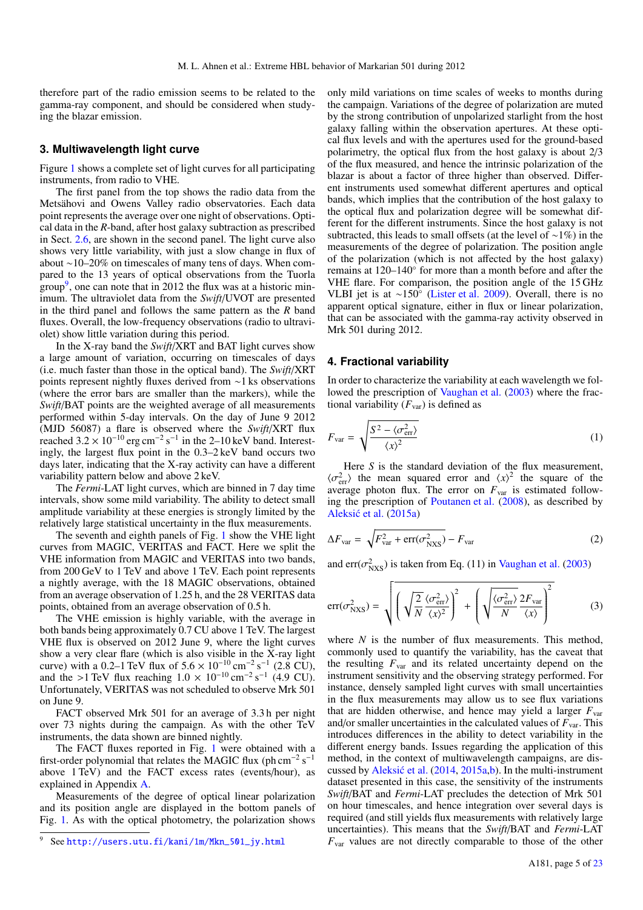therefore part of the radio emission seems to be related to the gamma-ray component, and should be considered when studying the blazar emission.

## <span id="page-5-0"></span>**3. Multiwavelength light curve**

Figure [1](#page-6-0) shows a complete set of light curves for all participating instruments, from radio to VHE.

The first panel from the top shows the radio data from the Metsähovi and Owens Valley radio observatories. Each data point represents the average over one night of observations. Optical data in the *R*-band, after host galaxy subtraction as prescribed in Sect. [2.6,](#page-4-1) are shown in the second panel. The light curve also shows very little variability, with just a slow change in flux of about ∼10–20% on timescales of many tens of days. When compared to the 13 years of optical observations from the Tuorla group<sup>[9](#page-5-2)</sup>, one can note that in 2012 the flux was at a historic minimum. The ultraviolet data from the *Swift*/UVOT are presented in the third panel and follows the same pattern as the *R* band fluxes. Overall, the low-frequency observations (radio to ultraviolet) show little variation during this period.

In the X-ray band the *Swift*/XRT and BAT light curves show a large amount of variation, occurring on timescales of days (i.e. much faster than those in the optical band). The *Swift*/XRT points represent nightly fluxes derived from ∼1 ks observations (where the error bars are smaller than the markers), while the *Swift*/BAT points are the weighted average of all measurements performed within 5-day intervals. On the day of June 9 2012 (MJD 56087) a flare is observed where the *Swift*/XRT flux reached  $3.2 \times 10^{-10}$  erg cm<sup>-2</sup> s<sup>-1</sup> in the 2–10 keV band. Interest-<br>ingly the largest flux point in the 0.3–2 keV band occurs two ingly, the largest flux point in the 0.3–2 keV band occurs two days later, indicating that the X-ray activity can have a different variability pattern below and above 2 keV.

The *Fermi*-LAT light curves, which are binned in 7 day time intervals, show some mild variability. The ability to detect small amplitude variability at these energies is strongly limited by the relatively large statistical uncertainty in the flux measurements.

The seventh and eighth panels of Fig. [1](#page-6-0) show the VHE light curves from MAGIC, VERITAS and FACT. Here we split the VHE information from MAGIC and VERITAS into two bands, from 200 GeV to 1 TeV and above 1 TeV. Each point represents a nightly average, with the 18 MAGIC observations, obtained from an average observation of 1.25 h, and the 28 VERITAS data points, obtained from an average observation of 0.5 h.

The VHE emission is highly variable, with the average in both bands being approximately 0.7 CU above 1 TeV. The largest VHE flux is observed on 2012 June 9, where the light curves show a very clear flare (which is also visible in the X-ray light curve) with a 0.2–1 TeV flux of  $5.6 \times 10^{-10}$  cm<sup>-2</sup> s<sup>-1</sup> (2.8 CU),<br>and the >1 TeV flux reaching  $1.0 \times 10^{-10}$  cm<sup>-2</sup> s<sup>-1</sup> (4.9 CU) and the >1 TeV flux reaching  $1.0 \times 10^{-10} \text{ cm}^{-2} \text{ s}^{-1}$  (4.9 CU).<br>Unfortunately VERITAS was not scheduled to observe Mrk 501 Unfortunately, VERITAS was not scheduled to observe Mrk 501 on June 9.

FACT observed Mrk 501 for an average of 3.3 h per night over 73 nights during the campaign. As with the other TeV instruments, the data shown are binned nightly.

The FACT fluxes reported in Fig. [1](#page-6-0) were obtained with a first-order polynomial that relates the MAGIC flux (ph cm<sup>-2</sup> s<sup>-1</sup> above 1 TeV) and the FACT excess rates (events/hour), as explained in Appendix [A.](#page-21-0)

Measurements of the degree of optical linear polarization and its position angle are displayed in the bottom panels of Fig. [1.](#page-6-0) As with the optical photometry, the polarization shows

only mild variations on time scales of weeks to months during the campaign. Variations of the degree of polarization are muted by the strong contribution of unpolarized starlight from the host galaxy falling within the observation apertures. At these optical flux levels and with the apertures used for the ground-based polarimetry, the optical flux from the host galaxy is about 2/3 of the flux measured, and hence the intrinsic polarization of the blazar is about a factor of three higher than observed. Different instruments used somewhat different apertures and optical bands, which implies that the contribution of the host galaxy to the optical flux and polarization degree will be somewhat different for the different instruments. Since the host galaxy is not subtracted, this leads to small offsets (at the level of ∼1%) in the measurements of the degree of polarization. The position angle of the polarization (which is not affected by the host galaxy) remains at 120–140◦ for more than a month before and after the VHE flare. For comparison, the position angle of the 15 GHz VLBI jet is at ∼150◦ [\(Lister et al.](#page-18-52) [2009\)](#page-18-52). Overall, there is no apparent optical signature, either in flux or linear polarization, that can be associated with the gamma-ray activity observed in Mrk 501 during 2012.

## <span id="page-5-1"></span>**4. Fractional variability**

In order to characterize the variability at each wavelength we fol-lowed the prescription of [Vaughan et al.](#page-19-70) [\(2003\)](#page-19-70) where the fractional variability  $(F_{var})$  is defined as

$$
F_{\text{var}} = \sqrt{\frac{S^2 - \langle \sigma_{\text{err}}^2 \rangle}{\langle x \rangle^2}}
$$
 (1)

Here *S* is the standard deviation of the flux measurement,  $\langle \sigma_{\text{err}}^2 \rangle$  the mean squared error and  $\langle x \rangle^2$  the square of the average photon flux. The error on  $F_{\text{max}}$  is estimated followaverage photon flux. The error on  $F_{\text{var}}$  is estimated following the prescription of [Poutanen et al.](#page-18-53) [\(2008\)](#page-18-53), as described by Aleksić et al. [\(2015a\)](#page-18-21)

$$
\Delta F_{\text{var}} = \sqrt{F_{\text{var}}^2 + \text{err}(\sigma_{\text{NXS}}^2)} - F_{\text{var}} \tag{2}
$$

and err $(\sigma_{\text{NXS}}^2)$  is taken from Eq. (11) in [Vaughan et al.](#page-19-70) [\(2003\)](#page-19-70)

$$
err(\sigma_{NXS}^2) = \sqrt{\left(\sqrt{\frac{2}{N}} \frac{\langle \sigma_{err}^2 \rangle}{\langle x \rangle^2}\right)^2 + \left(\sqrt{\frac{\langle \sigma_{err}^2 \rangle}{N}} \frac{2F_{var}}{\langle x \rangle}\right)^2}
$$
(3)

where *N* is the number of flux measurements. This method, commonly used to quantify the variability, has the caveat that the resulting *F*var and its related uncertainty depend on the instrument sensitivity and the observing strategy performed. For instance, densely sampled light curves with small uncertainties in the flux measurements may allow us to see flux variations that are hidden otherwise, and hence may yield a larger *F*var and/or smaller uncertainties in the calculated values of  $F_{\text{var}}$ . This introduces differences in the ability to detect variability in the different energy bands. Issues regarding the application of this method, in the context of multiwavelength campaigns, are discussed by Aleksić et al.  $(2014, 2015a,b)$  $(2014, 2015a,b)$  $(2014, 2015a,b)$  $(2014, 2015a,b)$ . In the multi-instrument dataset presented in this case, the sensitivity of the instruments *Swift*/BAT and *Fermi*-LAT precludes the detection of Mrk 501 on hour timescales, and hence integration over several days is required (and still yields flux measurements with relatively large uncertainties). This means that the *Swift*/BAT and *Fermi*-LAT *F*var values are not directly comparable to those of the other

<span id="page-5-2"></span><sup>9</sup> See [http://users.utu.fi/kani/1m/Mkn\\_501\\_jy.html](http://users.utu.fi/kani/1m/Mkn_501_jy.html)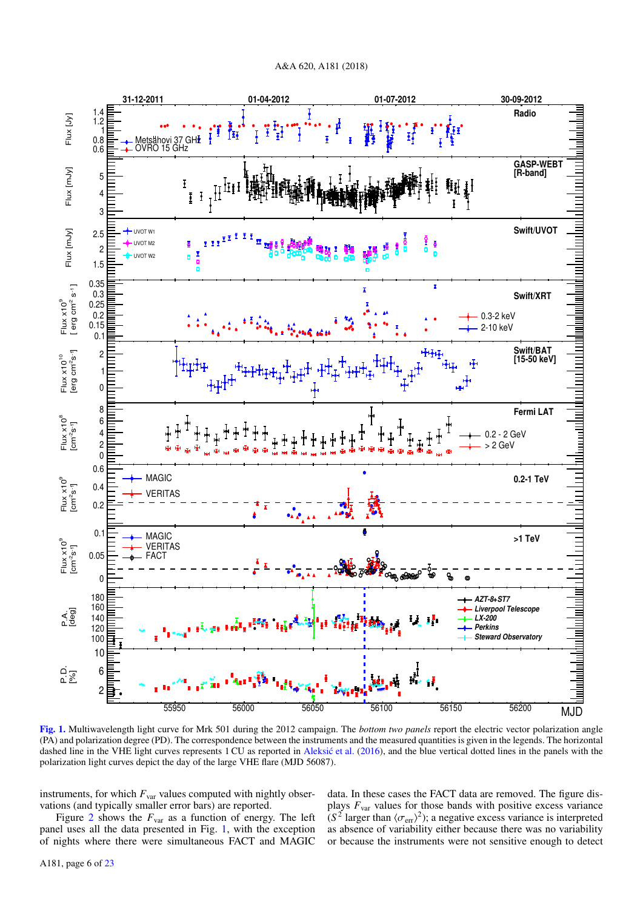

<span id="page-6-0"></span>[Fig. 1.](https://dexter.edpsciences.org/applet.php?DOI=10.1051/0004-6361/201833704&pdf_id=1) Multiwavelength light curve for Mrk 501 during the 2012 campaign. The *bottom two panels* report the electric vector polarization angle (PA) and polarization degree (PD). The correspondence between the instruments and the measured quantities is given in the legends. The horizontal dashed line in the VHE light curves represents 1 CU as reported in [Aleksic et al.](#page-18-13) [\(2016\)](#page-18-13), and the blue vertical dotted lines in the panels with the polarization light curves depict the day of the large VHE flare (MJD 56087).

instruments, for which  $F_{\text{var}}$  values computed with nightly observations (and typically smaller error bars) are reported.

Figure [2](#page-7-0) shows the  $F_{\text{var}}$  as a function of energy. The left panel uses all the data presented in Fig. [1,](#page-6-0) with the exception of nights where there were simultaneous FACT and MAGIC data. In these cases the FACT data are removed. The figure displays *F*var values for those bands with positive excess variance  $(S^2)$  larger than  $\langle \sigma_{\text{err}} \rangle^2$ ); a negative excess variance is interpreted<br>as absence of variability either because there was no variability as absence of variability either because there was no variability or because the instruments were not sensitive enough to detect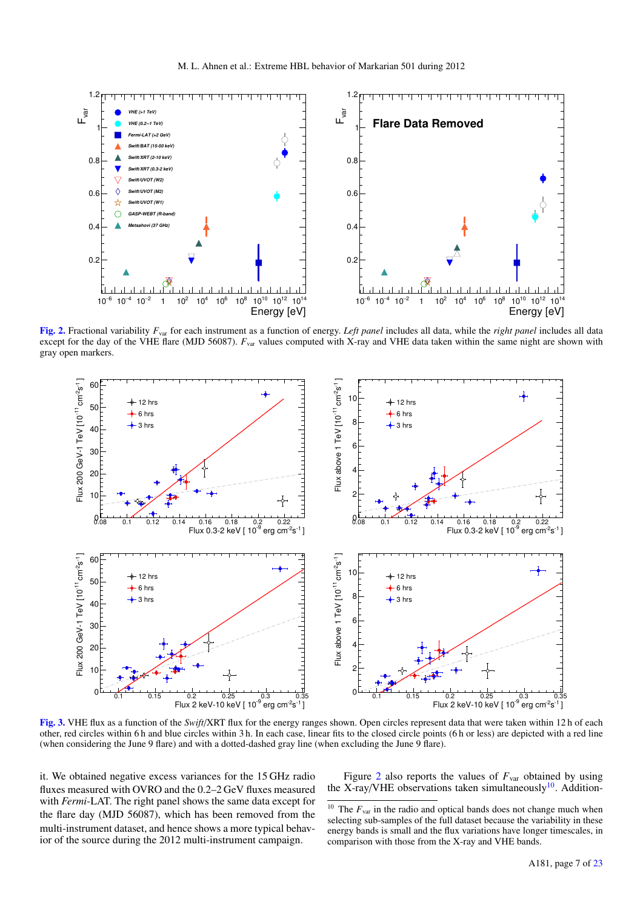

<span id="page-7-0"></span>[Fig. 2.](https://dexter.edpsciences.org/applet.php?DOI=10.1051/0004-6361/201833704&pdf_id=2) Fractional variability *F*var for each instrument as a function of energy. *Left panel* includes all data, while the *right panel* includes all data except for the day of the VHE flare (MJD 56087).  $F_{\text{var}}$  values computed with X-ray and VHE data taken within the same night are shown with gray open markers.



<span id="page-7-2"></span>[Fig. 3.](https://dexter.edpsciences.org/applet.php?DOI=10.1051/0004-6361/201833704&pdf_id=3) VHE flux as a function of the *Swift*/XRT flux for the energy ranges shown. Open circles represent data that were taken within 12 h of each other, red circles within 6 h and blue circles within 3 h. In each case, linear fits to the closed circle points (6 h or less) are depicted with a red line (when considering the June 9 flare) and with a dotted-dashed gray line (when excluding the June 9 flare).

it. We obtained negative excess variances for the 15 GHz radio fluxes measured with OVRO and the 0.2–2 GeV fluxes measured with *Fermi*-LAT. The right panel shows the same data except for the flare day (MJD 56087), which has been removed from the multi-instrument dataset, and hence shows a more typical behavior of the source during the 2012 multi-instrument campaign.

Figure [2](#page-7-0) also reports the values of  $F_{\text{var}}$  obtained by using the X-ray/VHE observations taken simultaneously<sup>[10](#page-7-1)</sup>. Addition-

<span id="page-7-1"></span><sup>&</sup>lt;sup>10</sup> The  $F_{\text{var}}$  in the radio and optical bands does not change much when selecting sub-samples of the full dataset because the variability in these energy bands is small and the flux variations have longer timescales, in comparison with those from the X-ray and VHE bands.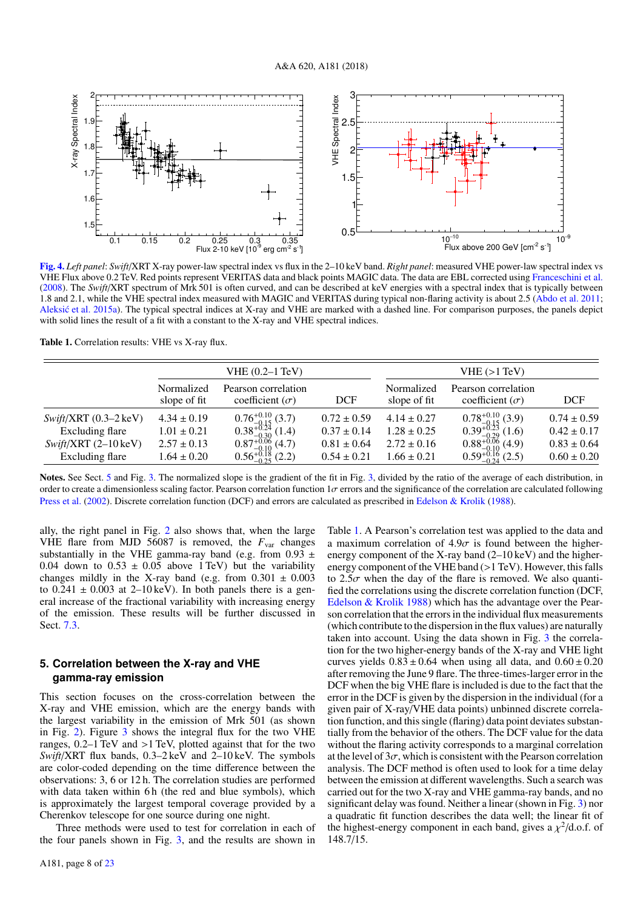

<span id="page-8-2"></span>[Fig. 4.](https://dexter.edpsciences.org/applet.php?DOI=10.1051/0004-6361/201833704&pdf_id=4) *Left panel*: *Swift*/XRT X-ray power-law spectral index vs flux in the 2–10 keV band. *Right panel*: measured VHE power-law spectral index vs VHE Flux above 0.2 TeV. Red points represent VERITAS data and black points MAGIC data. The data are EBL corrected using [Franceschini et al.](#page-18-17) [\(2008\)](#page-18-17). The *Swift*/XRT spectrum of Mrk 501 is often curved, and can be described at keV energies with a spectral index that is typically between 1.8 and 2.1, while the VHE spectral index measured with MAGIC and VERITAS during typical non-flaring activity is about 2.5 [\(Abdo et al.](#page-18-20) [2011;](#page-18-20) [Aleksic et al.](#page-18-21) [2015a\)](#page-18-21). The typical spectral indices at X-ray and VHE are marked with a dashed line. For comparison purposes, the panels depict with solid lines the result of a fit with a constant to the X-ray and VHE spectral indices.

<span id="page-8-1"></span>Table 1. Correlation results: VHE vs X-ray flux.

| VHE (0.2–1 TeV)            |                                               |                                                                                             | VHE (>1 TeV)               |                                               |                                                                                                                              |  |
|----------------------------|-----------------------------------------------|---------------------------------------------------------------------------------------------|----------------------------|-----------------------------------------------|------------------------------------------------------------------------------------------------------------------------------|--|
| Normalized<br>slope of fit | Pearson correlation<br>coefficient $(\sigma)$ | <b>DCF</b>                                                                                  | Normalized<br>slope of fit | Pearson correlation<br>coefficient $(\sigma)$ | <b>DCF</b>                                                                                                                   |  |
| $4.34 \pm 0.19$            |                                               | $0.72 \pm 0.59$                                                                             | $4.14 \pm 0.27$            |                                               | $0.74 \pm 0.59$                                                                                                              |  |
| $1.01 \pm 0.21$            |                                               | $0.37 \pm 0.14$                                                                             | $1.28 \pm 0.25$            |                                               | $0.42 \pm 0.17$                                                                                                              |  |
| $2.57 \pm 0.13$            |                                               | $0.81 \pm 0.64$                                                                             | $2.72 \pm 0.16$            |                                               | $0.83 \pm 0.64$                                                                                                              |  |
| $1.64 \pm 0.20$            | $0.56_{-0.25}^{+0.18}$ (2.2)                  | $0.54 \pm 0.21$                                                                             | $1.66 \pm 0.21$            |                                               | $0.60 \pm 0.20$                                                                                                              |  |
|                            |                                               | $0.76^{+0.10}_{-0.15}$ (3.7)<br>0.38 <sup>+0.24</sup> (1.4)<br>$0.87_{-0.10}^{+0.06}$ (4.7) |                            |                                               | $0.78_{-0.15}^{+0.10}$ (3.9)<br>$0.39_{-0.29}^{+0.23}$ (1.6)<br>$0.88_{-0.10}^{+0.06}$ (4.9)<br>$0.59_{-0.24}^{+0.16}$ (2.5) |  |

Notes. See Sect. [5](#page-8-0) and Fig. [3.](#page-7-2) The normalized slope is the gradient of the fit in Fig. [3,](#page-7-2) divided by the ratio of the average of each distribution, in order to create a dimensionless scaling factor. Pearson correlation function  $1\sigma$  errors and the significance of the correlation are calculated following [Press et al.](#page-18-56) [\(2002\)](#page-18-56). Discrete correlation function (DCF) and errors are calculated as prescribed in [Edelson & Krolik](#page-18-57) [\(1988\)](#page-18-57).

ally, the right panel in Fig. [2](#page-7-0) also shows that, when the large VHE flare from MJD 56087 is removed, the  $F_{\text{var}}$  changes substantially in the VHE gamma-ray band (e.g. from  $0.93 \pm$ 0.04 down to  $0.53 \pm 0.05$  above 1 TeV) but the variability changes mildly in the X-ray band (e.g. from  $0.301 \pm 0.003$ ) to  $0.241 \pm 0.003$  at 2–10 keV). In both panels there is a general increase of the fractional variability with increasing energy of the emission. These results will be further discussed in Sect. [7.3.](#page-15-0)

## <span id="page-8-0"></span>**5. Correlation between the X-ray and VHE gamma-ray emission**

This section focuses on the cross-correlation between the X-ray and VHE emission, which are the energy bands with the largest variability in the emission of Mrk 501 (as shown in Fig. [2\)](#page-7-0). Figure [3](#page-7-2) shows the integral flux for the two VHE ranges, 0.2–1 TeV and >1 TeV, plotted against that for the two *Swift*/XRT flux bands, 0.3–2 keV and 2–10 keV. The symbols are color-coded depending on the time difference between the observations: 3, 6 or 12 h. The correlation studies are performed with data taken within 6h (the red and blue symbols), which is approximately the largest temporal coverage provided by a Cherenkov telescope for one source during one night.

Three methods were used to test for correlation in each of the four panels shown in Fig. [3,](#page-7-2) and the results are shown in

Table [1.](#page-8-1) A Pearson's correlation test was applied to the data and a maximum correlation of  $4.9\sigma$  is found between the higherenergy component of the X-ray band (2–10 keV) and the higherenergy component of the VHE band (>1 TeV). However, this falls to  $2.5\sigma$  when the day of the flare is removed. We also quantified the correlations using the discrete correlation function (DCF, [Edelson & Krolik](#page-18-57) [1988\)](#page-18-57) which has the advantage over the Pearson correlation that the errors in the individual flux measurements (which contribute to the dispersion in the flux values) are naturally taken into account. Using the data shown in Fig. [3](#page-7-2) the correlation for the two higher-energy bands of the X-ray and VHE light curves yields  $0.83 \pm 0.64$  when using all data, and  $0.60 \pm 0.20$ after removing the June 9 flare. The three-times-larger error in the DCF when the big VHE flare is included is due to the fact that the error in the DCF is given by the dispersion in the individual (for a given pair of X-ray/VHE data points) unbinned discrete correlation function, and this single (flaring) data point deviates substantially from the behavior of the others. The DCF value for the data without the flaring activity corresponds to a marginal correlation at the level of  $3\sigma$ , which is consistent with the Pearson correlation analysis. The DCF method is often used to look for a time delay between the emission at different wavelengths. Such a search was carried out for the two X-ray and VHE gamma-ray bands, and no significant delay was found. Neither a linear (shown in Fig. [3\)](#page-7-2) nor a quadratic fit function describes the data well; the linear fit of the highest-energy component in each band, gives a  $\chi^2$ /d.o.f. of 148 7/15 148.7/15.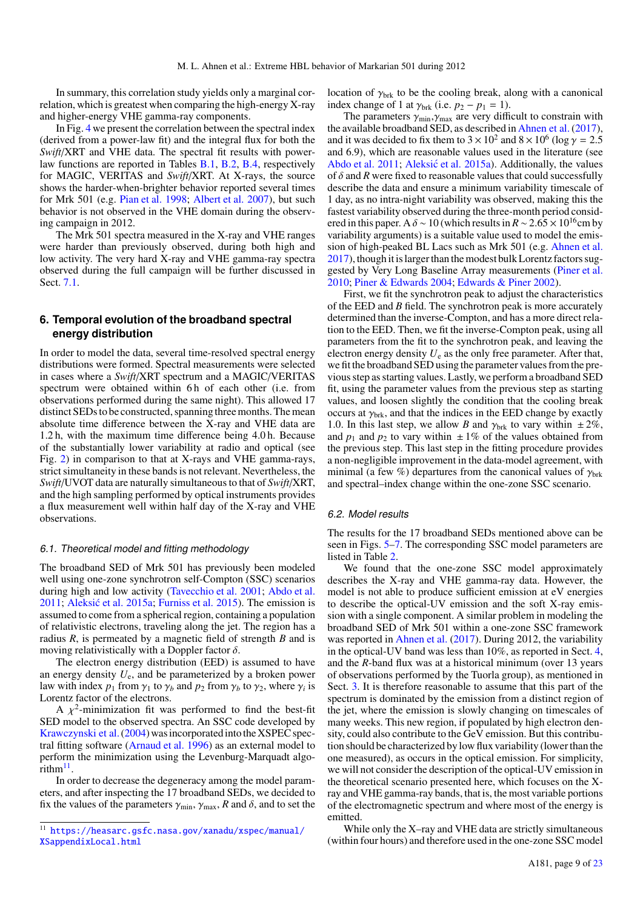In summary, this correlation study yields only a marginal correlation, which is greatest when comparing the high-energy X-ray and higher-energy VHE gamma-ray components.

In Fig. [4](#page-8-2) we present the correlation between the spectral index (derived from a power-law fit) and the integral flux for both the *Swift*/XRT and VHE data. The spectral fit results with powerlaw functions are reported in Tables [B.1,](#page-21-1) [B.2,](#page-21-2) [B.4,](#page-23-0) respectively for MAGIC, VERITAS and *Swift*/XRT. At X-rays, the source shows the harder-when-brighter behavior reported several times for Mrk 501 (e.g. [Pian et al.](#page-18-58) [1998;](#page-18-58) [Albert et al.](#page-18-59) [2007\)](#page-18-59), but such behavior is not observed in the VHE domain during the observing campaign in 2012.

The Mrk 501 spectra measured in the X-ray and VHE ranges were harder than previously observed, during both high and low activity. The very hard X-ray and VHE gamma-ray spectra observed during the full campaign will be further discussed in Sect. [7.1.](#page-14-1)

# <span id="page-9-0"></span>**6. Temporal evolution of the broadband spectral energy distribution**

In order to model the data, several time-resolved spectral energy distributions were formed. Spectral measurements were selected in cases where a *Swift*/XRT spectrum and a MAGIC/VERITAS spectrum were obtained within 6h of each other (i.e. from observations performed during the same night). This allowed 17 distinct SEDs to be constructed, spanning three months. The mean absolute time difference between the X-ray and VHE data are 1.2 h, with the maximum time difference being 4.0 h. Because of the substantially lower variability at radio and optical (see Fig. [2\)](#page-7-0) in comparison to that at X-rays and VHE gamma-rays, strict simultaneity in these bands is not relevant. Nevertheless, the *Swift*/UVOT data are naturally simultaneous to that of *Swift*/XRT, and the high sampling performed by optical instruments provides a flux measurement well within half day of the X-ray and VHE observations.

#### <span id="page-9-2"></span>6.1. Theoretical model and fitting methodology

The broadband SED of Mrk 501 has previously been modeled well using one-zone synchrotron self-Compton (SSC) scenarios during high and low activity [\(Tavecchio et al.](#page-18-60) [2001;](#page-18-60) [Abdo et al.](#page-18-20)  $2011$ ; Aleksić et al.  $2015a$ ; [Furniss et al.](#page-18-22)  $2015$ ). The emission is assumed to come from a spherical region, containing a population of relativistic electrons, traveling along the jet. The region has a radius *R*, is permeated by a magnetic field of strength *B* and is moving relativistically with a Doppler factor  $\delta$ .

The electron energy distribution (EED) is assumed to have an energy density *U*e, and be parameterized by a broken power law with index  $p_1$  from  $\gamma_1$  to  $\gamma_b$  and  $p_2$  from  $\gamma_b$  to  $\gamma_2$ , where  $\gamma_i$  is <br>Lorentz factor of the electrons Lorentz factor of the electrons.

A  $\chi^2$ -minimization fit was performed to find the best-fit<br>a) model to the observed spectra. An SSC code developed by SED model to the observed spectra. An SSC code developed by Krawczynski et al. (2004) was incorporated into the XSPEC spectral fitting software [\(Arnaud et al.](#page-18-62) [1996\)](#page-18-62) as an external model to perform the minimization using the Levenburg-Marquadt algo $r$ ithm $^{11}$  $^{11}$  $^{11}$ .

In order to decrease the degeneracy among the model parameters, and after inspecting the 17 broadband SEDs, we decided to fix the values of the parameters  $\gamma_{\text{min}}$ ,  $\gamma_{\text{max}}$ , *R* and *δ*, and to set the location of  $\gamma_{\text{brk}}$  to be the cooling break, along with a canonical index change of 1 at  $\gamma_{\text{brk}}$  (i.e.  $p_2 - p_1 = 1$ ).

The parameters  $\gamma_{\text{min}}$ ,  $\gamma_{\text{max}}$  are very difficult to constrain with the available broadband SED, as described in [Ahnen et al.\(2017\)](#page-18-23), and it was decided to fix them to  $3 \times 10^2$  and  $8 \times 10^6$  (log  $\gamma = 2.5$  and 6.9) which are reasonable values used in the literature (see and 6.9), which are reasonable values used in the literature (see [Abdo et al.](#page-18-20) [2011;](#page-18-20) Aleksić et al. [2015a\)](#page-18-21). Additionally, the values of  $\delta$  and  $R$  were fixed to reasonable values that could successfully describe the data and ensure a minimum variability timescale of 1 day, as no intra-night variability was observed, making this the fastest variability observed during the three-month period considered in this paper. A  $\delta \sim 10$  (which results in  $R \sim 2.65 \times 10^{16}$ cm by variability arguments) is a suitable value used to model the emission of high-peaked BL Lacs such as Mrk 501 (e.g. [Ahnen et al.](#page-18-23) [2017\)](#page-18-23), though it is larger than the modest bulk Lorentz factors suggested by Very Long Baseline Array measurements [\(Piner et al.](#page-18-63) [2010;](#page-18-63) [Piner & Edwards](#page-18-64) [2004;](#page-18-64) [Edwards & Piner](#page-18-65) [2002\)](#page-18-65).

First, we fit the synchrotron peak to adjust the characteristics of the EED and *B* field. The synchrotron peak is more accurately determined than the inverse-Compton, and has a more direct relation to the EED. Then, we fit the inverse-Compton peak, using all parameters from the fit to the synchrotron peak, and leaving the electron energy density  $U_e$  as the only free parameter. After that, we fit the broadband SED using the parameter values from the previous step as starting values. Lastly, we perform a broadband SED fit, using the parameter values from the previous step as starting values, and loosen slightly the condition that the cooling break occurs at  $\gamma_{\text{brk}}$ , and that the indices in the EED change by exactly 1.0. In this last step, we allow *B* and  $\gamma_{\text{brk}}$  to vary within  $\pm 2\%$ , and  $p_1$  and  $p_2$  to vary within  $\pm 1\%$  of the values obtained from the previous step. This last step in the fitting procedure provides a non-negligible improvement in the data-model agreement, with minimal (a few %) departures from the canonical values of  $\gamma_{\text{brk}}$ and spectral–index change within the one-zone SSC scenario.

#### 6.2. Model results

The results for the 17 broadband SEDs mentioned above can be seen in Figs. [5–](#page-10-0)[7.](#page-12-0) The corresponding SSC model parameters are listed in Table [2.](#page-13-0)

We found that the one-zone SSC model approximately describes the X-ray and VHE gamma-ray data. However, the model is not able to produce sufficient emission at eV energies to describe the optical-UV emission and the soft X-ray emission with a single component. A similar problem in modeling the broadband SED of Mrk 501 within a one-zone SSC framework was reported in [Ahnen et al.](#page-18-23) [\(2017\)](#page-18-23). During 2012, the variability in the optical-UV band was less than 10%, as reported in Sect. [4,](#page-5-1) and the *R*-band flux was at a historical minimum (over 13 years of observations performed by the Tuorla group), as mentioned in Sect. [3.](#page-5-0) It is therefore reasonable to assume that this part of the spectrum is dominated by the emission from a distinct region of the jet, where the emission is slowly changing on timescales of many weeks. This new region, if populated by high electron density, could also contribute to the GeV emission. But this contribution should be characterized by low flux variability (lower than the one measured), as occurs in the optical emission. For simplicity, we will not consider the description of the optical-UV emission in the theoretical scenario presented here, which focuses on the Xray and VHE gamma-ray bands, that is, the most variable portions of the electromagnetic spectrum and where most of the energy is emitted.

While only the X–ray and VHE data are strictly simultaneous (within four hours) and therefore used in the one-zone SSC model

<span id="page-9-1"></span><sup>11</sup> [https://heasarc.gsfc.nasa.gov/xanadu/xspec/manual/](https://heasarc.gsfc.nasa.gov/xanadu/xspec/manual/XSappendixLocal.html) [XSappendixLocal.html](https://heasarc.gsfc.nasa.gov/xanadu/xspec/manual/XSappendixLocal.html)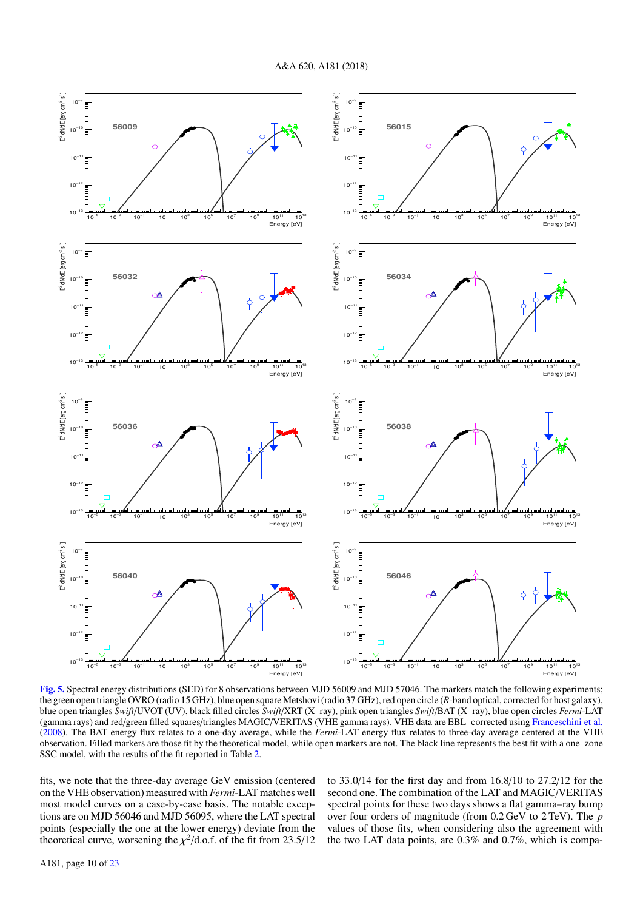

<span id="page-10-0"></span>[Fig. 5.](https://dexter.edpsciences.org/applet.php?DOI=10.1051/0004-6361/201833704&pdf_id=5) Spectral energy distributions (SED) for 8 observations between MJD 56009 and MJD 57046. The markers match the following experiments; the green open triangle OVRO (radio 15 GHz), blue open square Metshovi (radio 37 GHz), red open circle (*R*-band optical, corrected for host galaxy), blue open triangles *Swift*/UVOT (UV), black filled circles *Swift*/XRT (X–ray), pink open triangles *Swift*/BAT (X–ray), blue open circles *Fermi*-LAT (gamma rays) and red/green filled squares/triangles MAGIC/VERITAS (VHE gamma rays). VHE data are EBL–corrected using [Franceschini et al.](#page-18-17) [\(2008\)](#page-18-17). The BAT energy flux relates to a one-day average, while the *Fermi*-LAT energy flux relates to three-day average centered at the VHE observation. Filled markers are those fit by the theoretical model, while open markers are not. The black line represents the best fit with a one–zone SSC model, with the results of the fit reported in Table [2.](#page-13-0)

fits, we note that the three-day average GeV emission (centered on the VHE observation) measured with*Fermi*-LAT matches well most model curves on a case-by-case basis. The notable exceptions are on MJD 56046 and MJD 56095, where the LAT spectral points (especially the one at the lower energy) deviate from the theoretical curve, worsening the  $\chi^2$ /d.o.f. of the fit from 23.5/12

to 33.0/14 for the first day and from 16.8/10 to 27.2/12 for the second one. The combination of the LAT and MAGIC/VERITAS spectral points for these two days shows a flat gamma–ray bump over four orders of magnitude (from 0.2 GeV to 2 TeV). The *p* values of those fits, when considering also the agreement with the two LAT data points, are 0.3% and 0.7%, which is compa-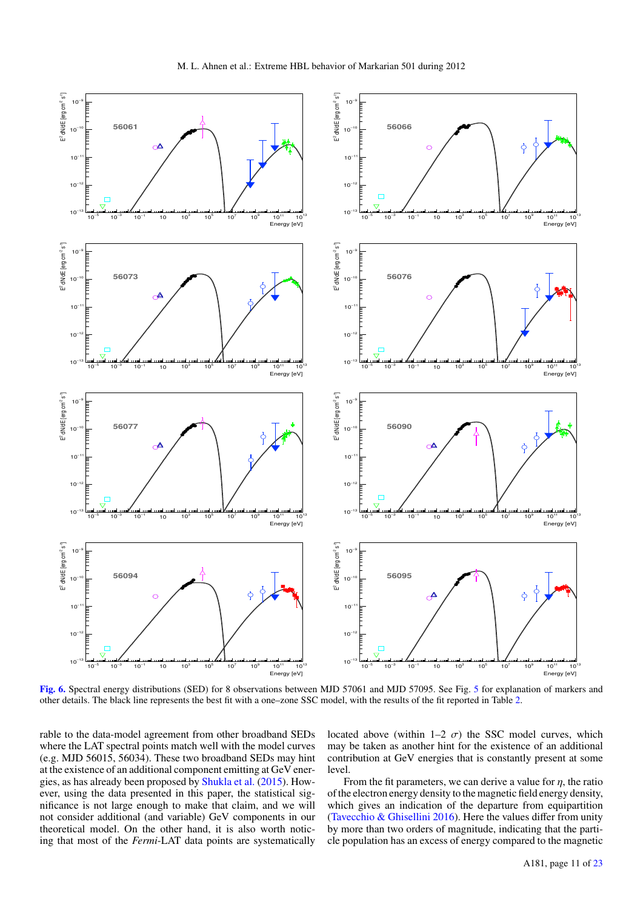

<span id="page-11-0"></span>[Fig. 6.](https://dexter.edpsciences.org/applet.php?DOI=10.1051/0004-6361/201833704&pdf_id=6) Spectral energy distributions (SED) for 8 observations between MJD 57061 and MJD 57095. See Fig. [5](#page-10-0) for explanation of markers and other details. The black line represents the best fit with a one–zone SSC model, with the results of the fit reported in Table [2.](#page-13-0)

rable to the data-model agreement from other broadband SEDs where the LAT spectral points match well with the model curves (e.g. MJD 56015, 56034). These two broadband SEDs may hint at the existence of an additional component emitting at GeV energies, as has already been proposed by [Shukla et al.](#page-18-66) [\(2015\)](#page-18-66). However, using the data presented in this paper, the statistical significance is not large enough to make that claim, and we will not consider additional (and variable) GeV components in our theoretical model. On the other hand, it is also worth noticing that most of the *Fermi*-LAT data points are systematically located above (within 1–2  $\sigma$ ) the SSC model curves, which may be taken as another hint for the existence of an additional contribution at GeV energies that is constantly present at some level.

From the fit parameters, we can derive a value for  $\eta$ , the ratio of the electron energy density to the magnetic field energy density, which gives an indication of the departure from equipartition [\(Tavecchio & Ghisellini](#page-18-67) [2016\)](#page-18-67). Here the values differ from unity by more than two orders of magnitude, indicating that the particle population has an excess of energy compared to the magnetic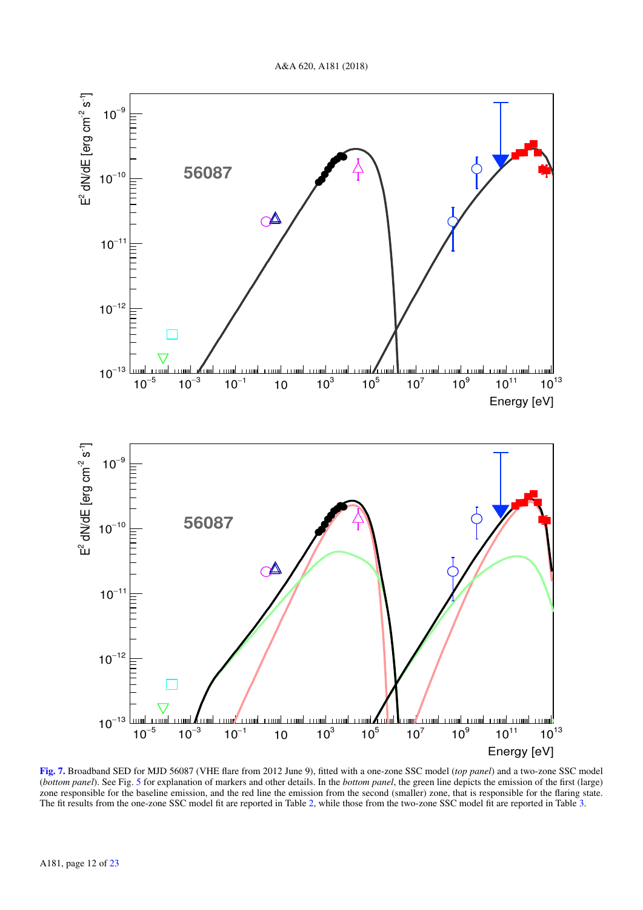

<span id="page-12-0"></span>[Fig. 7.](https://dexter.edpsciences.org/applet.php?DOI=10.1051/0004-6361/201833704&pdf_id=7) Broadband SED for MJD 56087 (VHE flare from 2012 June 9), fitted with a one-zone SSC model (*top panel*) and a two-zone SSC model (*bottom panel*). See Fig. [5](#page-10-0) for explanation of markers and other details. In the *bottom panel*, the green line depicts the emission of the first (large) zone responsible for the baseline emission, and the red line the emission from the second (smaller) zone, that is responsible for the flaring state. The fit results from the one-zone SSC model fit are reported in Table [2,](#page-13-0) while those from the two-zone SSC model fit are reported in Table [3.](#page-13-1)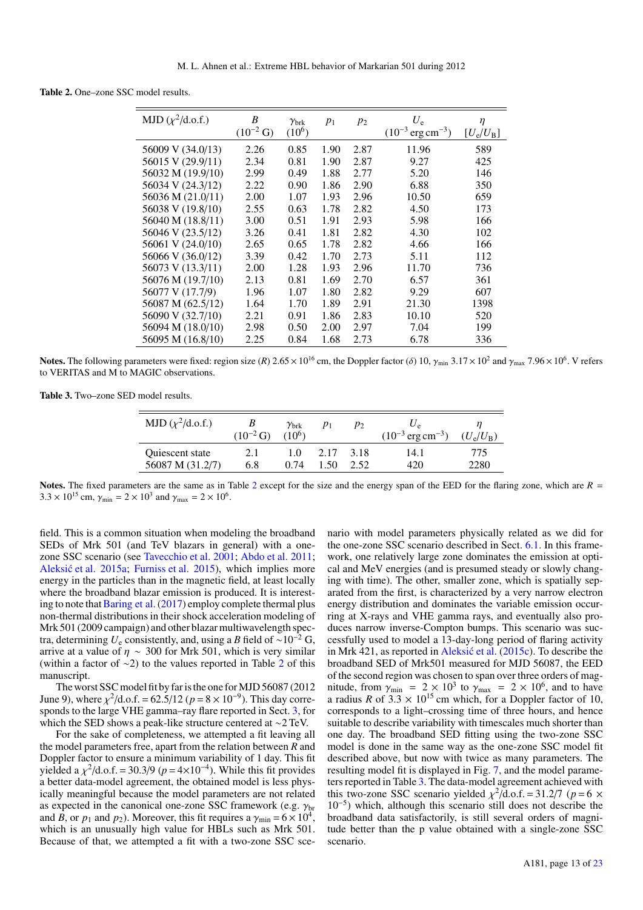<span id="page-13-0"></span>Table 2. One–zone SSC model results.

| MJD $(\chi^2/\text{d.o.f.})$ | B<br>$(10^{-2} G)$ | $\gamma_{\rm brk}$<br>$(10^6)$ | $p_1$ | $p_2$ | $U_{\rm e}$<br>$(10^{-3} \text{ erg cm}^{-3})$ | $\eta$<br>$[U_e/U_B]$ |
|------------------------------|--------------------|--------------------------------|-------|-------|------------------------------------------------|-----------------------|
| 56009 V (34.0/13)            | 2.26               | 0.85                           | 1.90  | 2.87  | 11.96                                          | 589                   |
| 56015 V (29.9/11)            | 2.34               | 0.81                           | 1.90  | 2.87  | 9.27                                           | 425                   |
| 56032 M (19.9/10)            | 2.99               | 0.49                           | 1.88  | 2.77  | 5.20                                           | 146                   |
| 56034 V (24.3/12)            | 2.22               | 0.90                           | 1.86  | 2.90  | 6.88                                           | 350                   |
| 56036 M (21.0/11)            | 2.00               | 1.07                           | 1.93  | 2.96  | 10.50                                          | 659                   |
| 56038 V (19.8/10)            | 2.55               | 0.63                           | 1.78  | 2.82  | 4.50                                           | 173                   |
| 56040 M (18.8/11)            | 3.00               | 0.51                           | 1.91  | 2.93  | 5.98                                           | 166                   |
| 56046 V (23.5/12)            | 3.26               | 0.41                           | 1.81  | 2.82  | 4.30                                           | 102                   |
| 56061 V (24.0/10)            | 2.65               | 0.65                           | 1.78  | 2.82  | 4.66                                           | 166                   |
| 56066 V (36.0/12)            | 3.39               | 0.42                           | 1.70  | 2.73  | 5.11                                           | 112                   |
| 56073 V (13.3/11)            | 2.00               | 1.28                           | 1.93  | 2.96  | 11.70                                          | 736                   |
| 56076 M (19.7/10)            | 2.13               | 0.81                           | 1.69  | 2.70  | 6.57                                           | 361                   |
| 56077 V (17.7/9)             | 1.96               | 1.07                           | 1.80  | 2.82  | 9.29                                           | 607                   |
| 56087 M (62.5/12)            | 1.64               | 1.70                           | 1.89  | 2.91  | 21.30                                          | 1398                  |
| 56090 V (32.7/10)            | 2.21               | 0.91                           | 1.86  | 2.83  | 10.10                                          | 520                   |
| 56094 M (18.0/10)            | 2.98               | 0.50                           | 2.00  | 2.97  | 7.04                                           | 199                   |
| 56095 M (16.8/10)            | 2.25               | 0.84                           | 1.68  | 2.73  | 6.78                                           | 336                   |

Notes. The following parameters were fixed: region size (*R*) 2.65 × 10<sup>16</sup> cm, the Doppler factor (*δ*) 10,  $\gamma_{\text{min}}$  3.17 × 10<sup>2</sup> and  $\gamma_{\text{max}}$  7.96 × 10<sup>6</sup>. V refers<br>to VERITAS and M to MAGIC observations to VERITAS and M to MAGIC observations.

<span id="page-13-1"></span>Table 3. Two–zone SED model results.

| MJD $(\chi^2/\text{d.o.f.})$ | $(10^{-2} G)$ | $\gamma_\mathrm{brk}$<br>$(10^6)$ | $p_1$ | $p_2$ | $(10^{-3} \text{ erg cm}^{-3})$ | $(U_e/U_B)$ |
|------------------------------|---------------|-----------------------------------|-------|-------|---------------------------------|-------------|
| Quiescent state              | 2.1           | 1.0                               | 2.17  | -3.18 | 14.1                            | 775         |
| 56087 M (31.2/7)             | 6.8           | 0.74                              | 1.50  | 2.52  | 420                             | 2280        |

Notes. The fixed parameters are the same as in Table [2](#page-13-0) except for the size and the energy span of the EED for the flaring zone, which are  $R =$  $3.3 \times 10^{15}$  cm,  $\gamma_{\text{min}} = 2 \times 10^3$  and  $\gamma_{\text{max}} = 2 \times 10^6$ .

field. This is a common situation when modeling the broadband SEDs of Mrk 501 (and TeV blazars in general) with a onezone SSC scenario (see [Tavecchio et al.](#page-18-60) [2001;](#page-18-60) [Abdo et al.](#page-18-20) [2011;](#page-18-20) Aleksić et al. [2015a;](#page-18-21) [Furniss et al.](#page-18-22) [2015\)](#page-18-22), which implies more energy in the particles than in the magnetic field, at least locally where the broadband blazar emission is produced. It is interesting to note that Baring et al.  $(2017)$  employ complete thermal plus non-thermal distributions in their shock acceleration modeling of Mrk 501 (2009 campaign) and other blazar multiwavelength spectra, determining  $U_e$  consistently, and, using a *B* field of ~10<sup>-2</sup> G, arrive at a value of  $\eta \sim 300$  for Mrk 501, which is very similar (within a factor of ∼2) to the values reported in Table [2](#page-13-0) of this manuscript.

The worst SSC model fit by faristhe one forMJD 56087 (2012 June 9), where  $\chi^2/\text{d.o.f.} = 62.5/12$  ( $p = 8 \times 10^{-9}$ ). This day corre-<br>sponds to the large VHE gamma-ray flare reported in Sect 3, for sponds to the large VHE gamma–ray flare reported in Sect. [3,](#page-5-0) for which the SED shows a peak-like structure centered at ∼2 TeV.

For the sake of completeness, we attempted a fit leaving all the model parameters free, apart from the relation between *R* and Doppler factor to ensure a minimum variability of 1 day. This fit yielded a  $\chi^2/\text{d.o.f.} = 30.3/9$  ( $p = 4 \times 10^{-4}$ ). While this fit provides a better data-model agreement the obtained model is less physa better data-model agreement, the obtained model is less physically meaningful because the model parameters are not related as expected in the canonical one-zone SSC framework (e.g.  $\gamma_{\text{b}}$ <br>and B or  $p_1$  and  $p_2$ ) Moreover this fit requires a  $\gamma_{\text{min}} = 6 \times 10^4$ and *B*, or  $p_1$  and  $p_2$ ). Moreover, this fit requires a  $\gamma_{\text{min}} = 6 \times 10^4$ , which is an unusually high value for HBI s such as Mrk 501. which is an unusually high value for HBLs such as Mrk 501. Because of that, we attempted a fit with a two-zone SSC scenario with model parameters physically related as we did for the one-zone SSC scenario described in Sect. [6.1.](#page-9-2) In this framework, one relatively large zone dominates the emission at optical and MeV energies (and is presumed steady or slowly changing with time). The other, smaller zone, which is spatially separated from the first, is characterized by a very narrow electron energy distribution and dominates the variable emission occurring at X-rays and VHE gamma rays, and eventually also produces narrow inverse-Compton bumps. This scenario was successfully used to model a 13-day-long period of flaring activity in Mrk 421, as reported in Aleksić et al.  $(2015c)$ . To describe the broadband SED of Mrk501 measured for MJD 56087, the EED of the second region was chosen to span over three orders of magnitude, from  $\gamma_{\text{min}} = 2 \times 10^3$  to  $\gamma_{\text{max}} = 2 \times 10^6$ , and to have a radius R of 3.3  $\times$  10<sup>15</sup> cm which for a Doppler factor of 10 a radius *R* of  $3.3 \times 10^{15}$  cm which, for a Doppler factor of 10, corresponds to a light–crossing time of three hours, and hence suitable to describe variability with timescales much shorter than one day. The broadband SED fitting using the two-zone SSC model is done in the same way as the one-zone SSC model fit described above, but now with twice as many parameters. The resulting model fit is displayed in Fig. [7,](#page-12-0) and the model parameters reported in Table [3.](#page-13-1) The data-model agreement achieved with this two-zone SSC scenario yielded  $\chi^2/\text{d.o.f.} = 31.2/7$  ( $p = 6 \times 10^{-5}$ ) which although this scenario still does not describe the 10<sup>−</sup><sup>5</sup> ) which, although this scenario still does not describe the broadband data satisfactorily, is still several orders of magnitude better than the p value obtained with a single-zone SSC scenario.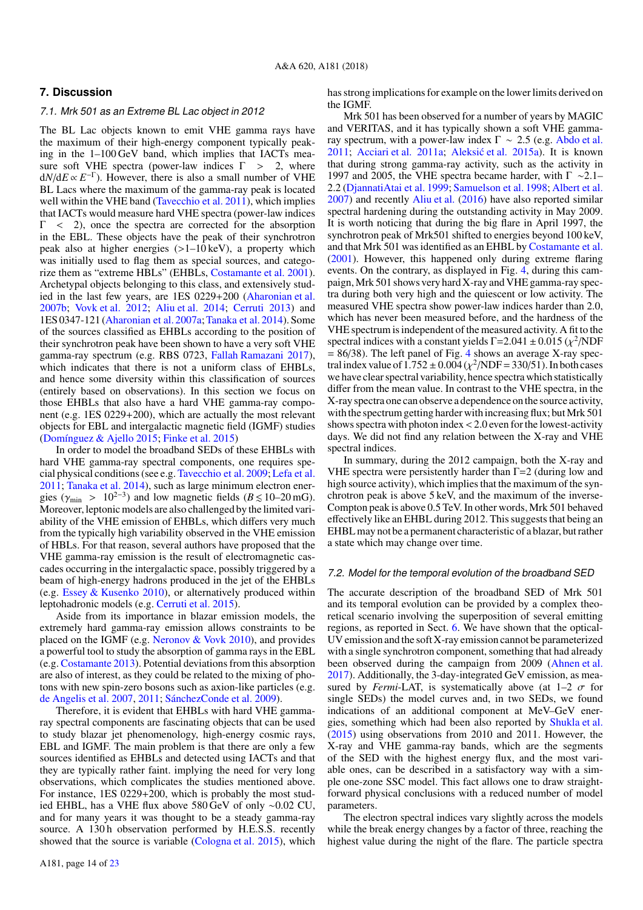## <span id="page-14-0"></span>**7. Discussion**

## <span id="page-14-1"></span>7.1. Mrk 501 as an Extreme BL Lac object in 2012

The BL Lac objects known to emit VHE gamma rays have the maximum of their high-energy component typically peaking in the 1–100 GeV band, which implies that IACTs measure soft VHE spectra (power-law indices  $\Gamma > 2$ , where  $dN/dE \propto E^{-\Gamma}$ ). However, there is also a small number of VHE BL Lacs where the maximum of the gamma-ray peak is located well within the VHE band [\(Tavecchio et al.](#page-19-71) [2011\)](#page-19-71), which implies that IACTs would measure hard VHE spectra (power-law indices <sup>Γ</sup> < 2), once the spectra are corrected for the absorption in the EBL. These objects have the peak of their synchrotron peak also at higher energies  $(>1-10 \text{ keV})$ , a property which was initially used to flag them as special sources, and categorize them as "extreme HBLs" (EHBLs, [Costamante et al.](#page-18-70) [2001\)](#page-18-70). Archetypal objects belonging to this class, and extensively studied in the last few years, are 1ES 0229+200 [\(Aharonian et al.](#page-18-15) [2007b;](#page-18-15) [Vovk et al.](#page-19-72) [2012;](#page-19-72) [Aliu et al.](#page-18-71) [2014;](#page-18-71) [Cerruti](#page-18-72) [2013\)](#page-18-72) and 1ES 0347-121 [\(Aharonian et al.](#page-18-73) [2007a;](#page-18-73)[Tanaka et al.](#page-18-74) [2014\)](#page-18-74). Some of the sources classified as EHBLs according to the position of their synchrotron peak have been shown to have a very soft VHE gamma-ray spectrum (e.g. RBS 0723, [Fallah Ramazani](#page-18-75) [2017\)](#page-18-75), which indicates that there is not a uniform class of EHBLs, and hence some diversity within this classification of sources (entirely based on observations). In this section we focus on those EHBLs that also have a hard VHE gamma-ray component (e.g. 1ES 0229+200), which are actually the most relevant objects for EBL and intergalactic magnetic field (IGMF) studies [\(Domínguez & Ajello](#page-18-76) [2015;](#page-18-76) [Finke et al.](#page-18-77) [2015\)](#page-18-77)

In order to model the broadband SEDs of these EHBLs with hard VHE gamma-ray spectral components, one requires special physical conditions (see e.g. [Tavecchio et al.](#page-19-73) [2009;](#page-19-73) [Lefa et al.](#page-18-78) [2011;](#page-18-78) [Tanaka et al.](#page-18-74) [2014\)](#page-18-74), such as large minimum electron energies ( $\gamma_{\text{min}} > 10^{2-3}$ ) and low magnetic fields ( $B \le 10-20$  mG).<br>Moreover leptonic models are also challenged by the limited vari-Moreover, leptonic models are also challenged by the limited variability of the VHE emission of EHBLs, which differs very much from the typically high variability observed in the VHE emission of HBLs. For that reason, several authors have proposed that the VHE gamma-ray emission is the result of electromagnetic cascades occurring in the intergalactic space, possibly triggered by a beam of high-energy hadrons produced in the jet of the EHBLs (e.g. [Essey & Kusenko](#page-18-79) [2010\)](#page-18-79), or alternatively produced within leptohadronic models (e.g. [Cerruti et al.](#page-18-80) [2015\)](#page-18-80).

Aside from its importance in blazar emission models, the extremely hard gamma-ray emission allows constraints to be placed on the IGMF (e.g. [Neronov & Vovk](#page-18-81) [2010\)](#page-18-81), and provides a powerful tool to study the absorption of gamma rays in the EBL (e.g. [Costamante](#page-18-82) [2013\)](#page-18-82). Potential deviations from this absorption are also of interest, as they could be related to the mixing of photons with new spin-zero bosons such as axion-like particles (e.g. [de Angelis et al.](#page-18-83) [2007,](#page-18-83) [2011;](#page-18-84) [SánchezConde et al.](#page-18-85) [2009\)](#page-18-85).

Therefore, it is evident that EHBLs with hard VHE gammaray spectral components are fascinating objects that can be used to study blazar jet phenomenology, high-energy cosmic rays, EBL and IGMF. The main problem is that there are only a few sources identified as EHBLs and detected using IACTs and that they are typically rather faint. implying the need for very long observations, which complicates the studies mentioned above. For instance, 1ES 0229+200, which is probably the most studied EHBL, has a VHE flux above 580 GeV of only ∼0.02 CU, and for many years it was thought to be a steady gamma-ray source. A 130h observation performed by H.E.S.S. recently showed that the source is variable [\(Cologna et al.](#page-18-86) [2015\)](#page-18-86), which has strong implications for example on the lower limits derived on the IGMF.

Mrk 501 has been observed for a number of years by MAGIC and VERITAS, and it has typically shown a soft VHE gammaray spectrum, with a power-law index  $\Gamma \sim 2.5$  (e.g. [Abdo et al.](#page-18-20) [2011;](#page-18-20) [Acciari et al.](#page-18-87) [2011a;](#page-18-87) Aleksić et al. [2015a\)](#page-18-21). It is known that during strong gamma-ray activity, such as the activity in 1997 and 2005, the VHE spectra became harder, with  $\Gamma \sim 2.1-$ 2.2 [\(DjannatiAtai et al.](#page-18-10) [1999;](#page-18-10) [Samuelson et al.](#page-18-88) [1998;](#page-18-88) [Albert et al.](#page-18-59) [2007\)](#page-18-59) and recently [Aliu et al.](#page-18-89) [\(2016\)](#page-18-89) have also reported similar spectral hardening during the outstanding activity in May 2009. It is worth noticing that during the big flare in April 1997, the synchrotron peak of Mrk501 shifted to energies beyond 100 keV, and that Mrk 501 was identified as an EHBL by [Costamante et al.](#page-18-70) [\(2001\)](#page-18-70). However, this happened only during extreme flaring events. On the contrary, as displayed in Fig. [4,](#page-8-2) during this campaign,Mrk 501 shows very hard X-ray and VHE gamma-ray spectra during both very high and the quiescent or low activity. The measured VHE spectra show power-law indices harder than 2.0, which has never been measured before, and the hardness of the VHE spectrum is independent of the measured activity. A fit to the spectral indices with a constant yields  $\Gamma = 2.041 \pm 0.015$  ( $\chi^2$ /NDF<br>= 86/38) The left panel of Fig. 4 shows an average X-ray spec- $= 86/38$ ). The left panel of Fig. [4](#page-8-2) shows an average X-ray spectral index value of  $1.752 \pm 0.004 (\chi^2/\text{NDF} = 330/51)$ . In both cases<br>we have clear spectral variability hence spectra which statistically we have clear spectral variability, hence spectra which statistically differ from the mean value. In contrast to the VHE spectra, in the X-ray spectra one can observe a dependence onthe source activity, with the spectrum getting harder with increasing flux; but Mrk 501 shows spectra with photon index<2.0 even for the lowest-activity days. We did not find any relation between the X-ray and VHE spectral indices.

In summary, during the 2012 campaign, both the X-ray and VHE spectra were persistently harder than  $Γ=2$  (during low and high source activity), which implies that the maximum of the synchrotron peak is above 5 keV, and the maximum of the inverse-Compton peak is above 0.5 TeV. In other words, Mrk 501 behaved effectively like an EHBL during 2012. This suggests that being an EHBL may not be a permanent characteristic of a blazar, but rather a state which may change over time.

#### 7.2. Model for the temporal evolution of the broadband SED

The accurate description of the broadband SED of Mrk 501 and its temporal evolution can be provided by a complex theoretical scenario involving the superposition of several emitting regions, as reported in Sect. [6.](#page-9-0) We have shown that the optical-UV emission and the soft X-ray emission cannot be parameterized with a single synchrotron component, something that had already been observed during the campaign from 2009 [\(Ahnen et al.](#page-18-23) [2017\)](#page-18-23). Additionally, the 3-day-integrated GeV emission, as measured by *Fermi*-LAT, is systematically above (at  $1-2\ \sigma$  for single SEDs) the model curves and, in two SEDs, we found indications of an additional component at MeV–GeV energies, something which had been also reported by [Shukla et al.](#page-18-66) [\(2015\)](#page-18-66) using observations from 2010 and 2011. However, the X-ray and VHE gamma-ray bands, which are the segments of the SED with the highest energy flux, and the most variable ones, can be described in a satisfactory way with a simple one-zone SSC model. This fact allows one to draw straightforward physical conclusions with a reduced number of model parameters.

The electron spectral indices vary slightly across the models while the break energy changes by a factor of three, reaching the highest value during the night of the flare. The particle spectra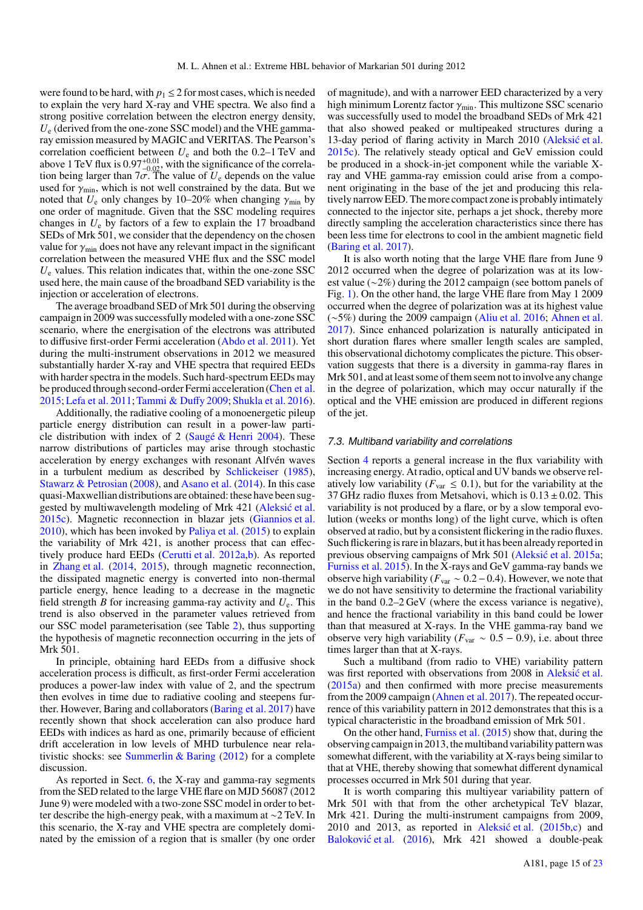were found to be hard, with  $p_1 \leq 2$  for most cases, which is needed to explain the very hard X-ray and VHE spectra. We also find a strong positive correlation between the electron energy density, *U*<sup>e</sup> (derived from the one-zone SSC model) and the VHE gammaray emission measured by MAGIC and VERITAS. The Pearson's correlation coefficient between *U*<sup>e</sup> and both the 0.2–1 TeV and above 1 TeV flux is  $0.97^{+0.01}_{-0.02}$ , with the significance of the correla-<br>tion being larger than  $7\sigma$ . The value of  $U_{\alpha}$  denends on the value tion being larger than  $7\sigma$ . The value of  $U_e$  depends on the value<br>used for  $\gamma_{\text{min}}$  which is not well constrained by the data. But we used for  $\gamma_{min}$ , which is not well constrained by the data. But we noted that  $U_e$  only changes by 10–20% when changing  $\gamma_{\text{min}}$  by one order of magnitude. Given that the SSC modeling requires changes in  $U_e$  by factors of a few to explain the 17 broadband SEDs of Mrk 501, we consider that the dependency on the chosen value for  $\gamma_{\text{min}}$  does not have any relevant impact in the significant correlation between the measured VHE flux and the SSC model *U*<sup>e</sup> values. This relation indicates that, within the one-zone SSC used here, the main cause of the broadband SED variability is the injection or acceleration of electrons.

The average broadband SED of Mrk 501 during the observing campaign in 2009 was successfully modeled with a one-zone SSC scenario, where the energisation of the electrons was attributed to diffusive first-order Fermi acceleration [\(Abdo et al.](#page-18-20) [2011\)](#page-18-20). Yet during the multi-instrument observations in 2012 we measured substantially harder X-ray and VHE spectra that required EEDs with harder spectra in the models. Such hard-spectrum EEDs may be produced through second-order Fermi acceleration [\(Chen et al.](#page-18-90) [2015;](#page-18-90)[Lefa et al.](#page-18-78) [2011;](#page-18-78)[Tammi & Du](#page-18-91)ffy [2009;](#page-18-91) [Shukla et al.](#page-18-92) [2016\)](#page-18-92).

Additionally, the radiative cooling of a monoenergetic pileup particle energy distribution can result in a power-law particle distribution with index of 2 [\(Saugé & Henri](#page-18-93) [2004\)](#page-18-93). These narrow distributions of particles may arise through stochastic acceleration by energy exchanges with resonant Alfvén waves in a turbulent medium as described by [Schlickeiser](#page-18-94) [\(1985\)](#page-18-94), [Stawarz & Petrosian](#page-18-95) [\(2008\)](#page-18-95), and [Asano et al.](#page-18-96) [\(2014\)](#page-18-96). In this case quasi-Maxwellian distributions are obtained: these have been suggested by multiwavelength modeling of Mrk 421 (Aleksić et al. [2015c\)](#page-18-69). Magnetic reconnection in blazar jets [\(Giannios et al.](#page-18-97) [2010\)](#page-18-97), which has been invoked by [Paliya et al.](#page-18-98) [\(2015\)](#page-18-98) to explain the variability of Mrk 421, is another process that can effectively produce hard EEDs [\(Cerutti et al.](#page-18-99) [2012a,](#page-18-99)[b\)](#page-18-100). As reported in [Zhang et al.](#page-19-74) [\(2014,](#page-19-74) [2015\)](#page-19-75), through magnetic reconnection, the dissipated magnetic energy is converted into non-thermal particle energy, hence leading to a decrease in the magnetic field strength *B* for increasing gamma-ray activity and *U*e. This trend is also observed in the parameter values retrieved from our SSC model parameterisation (see Table [2\)](#page-13-0), thus supporting the hypothesis of magnetic reconnection occurring in the jets of Mrk 501.

In principle, obtaining hard EEDs from a diffusive shock acceleration process is difficult, as first-order Fermi acceleration produces a power-law index with value of 2, and the spectrum then evolves in time due to radiative cooling and steepens further. However, Baring and collaborators [\(Baring et al.](#page-18-68) [2017\)](#page-18-68) have recently shown that shock acceleration can also produce hard EEDs with indices as hard as one, primarily because of efficient drift acceleration in low levels of MHD turbulence near relativistic shocks: see Summerlin  $\&$  Baring [\(2012\)](#page-18-101) for a complete discussion.

As reported in Sect. [6,](#page-9-0) the X-ray and gamma-ray segments from the SED related to the large VHE flare on MJD 56087 (2012 June 9) were modeled with a two-zone SSC model in order to better describe the high-energy peak, with a maximum at ∼2 TeV. In this scenario, the X-ray and VHE spectra are completely dominated by the emission of a region that is smaller (by one order of magnitude), and with a narrower EED characterized by a very high minimum Lorentz factor  $\gamma_{\text{min}}$ . This multizone SSC scenario was successfully used to model the broadband SEDs of Mrk 421 that also showed peaked or multipeaked structures during a 13-day period of flaring activity in March 2010 (Aleksić et al. [2015c\)](#page-18-69). The relatively steady optical and GeV emission could be produced in a shock-in-jet component while the variable Xray and VHE gamma-ray emission could arise from a component originating in the base of the jet and producing this relatively narrow EED. The more compact zone is probably intimately connected to the injector site, perhaps a jet shock, thereby more directly sampling the acceleration characteristics since there has been less time for electrons to cool in the ambient magnetic field [\(Baring et al.](#page-18-68) [2017\)](#page-18-68).

It is also worth noting that the large VHE flare from June 9 2012 occurred when the degree of polarization was at its lowest value (∼2%) during the 2012 campaign (see bottom panels of Fig. [1\)](#page-6-0). On the other hand, the large VHE flare from May 1 2009 occurred when the degree of polarization was at its highest value (∼5%) during the 2009 campaign [\(Aliu et al.](#page-18-89) [2016;](#page-18-89) [Ahnen et al.](#page-18-23) [2017\)](#page-18-23). Since enhanced polarization is naturally anticipated in short duration flares where smaller length scales are sampled, this observational dichotomy complicates the picture. This observation suggests that there is a diversity in gamma-ray flares in Mrk 501, and at least some of them seem not to involve any change in the degree of polarization, which may occur naturally if the optical and the VHE emission are produced in different regions of the jet.

#### <span id="page-15-0"></span>7.3. Multiband variability and correlations

Section [4](#page-5-1) reports a general increase in the flux variability with increasing energy. At radio, optical and UV bands we observe relatively low variability ( $F_{\text{var}} \leq 0.1$ ), but for the variability at the 37 GHz radio fluxes from Metsahovi, which is  $0.13 \pm 0.02$ . This variability is not produced by a flare, or by a slow temporal evolution (weeks or months long) of the light curve, which is often observed at radio, but by a consistent flickering in the radio fluxes. Such flickering is rare in blazars, but it has been already reported in previous observing campaigns of Mrk 501 (Aleksić et al. [2015a;](#page-18-21) [Furniss et al.](#page-18-22) [2015\)](#page-18-22). In the X-rays and GeV gamma-ray bands we observe high variability ( $F_{\text{var}} \sim 0.2 - 0.4$ ). However, we note that we do not have sensitivity to determine the fractional variability in the band 0.2–2 GeV (where the excess variance is negative), and hence the fractional variability in this band could be lower than that measured at X-rays. In the VHE gamma-ray band we observe very high variability ( $F_{\text{var}} \sim 0.5 - 0.9$ ), i.e. about three times larger than that at X-rays.

Such a multiband (from radio to VHE) variability pattern was first reported with observations from 2008 in Aleksić et al. [\(2015a\)](#page-18-21) and then confirmed with more precise measurements from the 2009 campaign [\(Ahnen et al.](#page-18-23) [2017\)](#page-18-23). The repeated occurrence of this variability pattern in 2012 demonstrates that this is a typical characteristic in the broadband emission of Mrk 501.

On the other hand, [Furniss et al.](#page-18-22) [\(2015\)](#page-18-22) show that, during the observing campaign in 2013, the multiband variability pattern was somewhat different, with the variability at X-rays being similar to that at VHE, thereby showing that somewhat different dynamical processes occurred in Mrk 501 during that year.

It is worth comparing this multiyear variability pattern of Mrk 501 with that from the other archetypical TeV blazar, Mrk 421. During the multi-instrument campaigns from 2009, 2010 and 2013, as reported in Aleksić et al.  $(2015b,c)$  $(2015b,c)$  and Baloković et al. [\(2016\)](#page-18-102), Mrk 421 showed a double-peak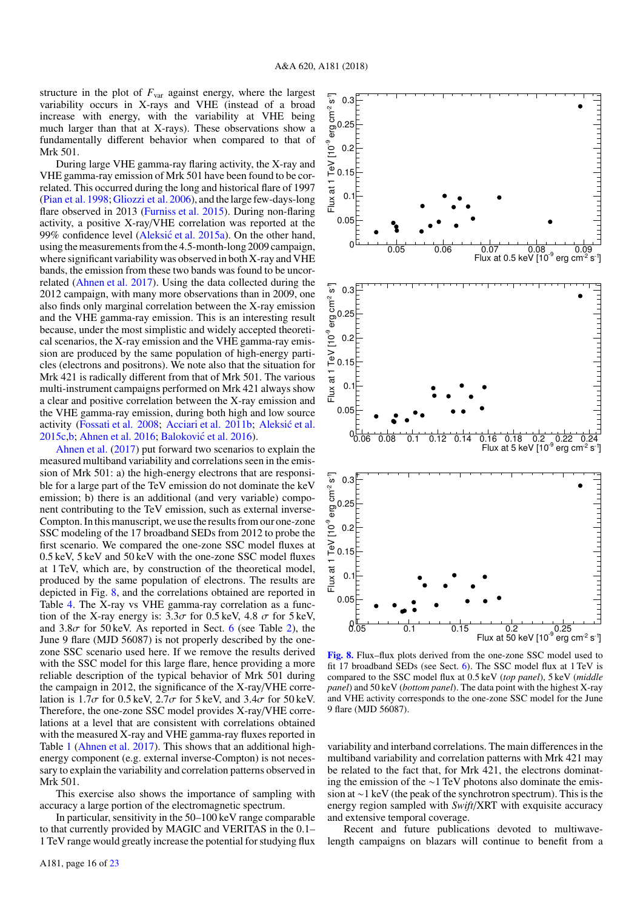structure in the plot of  $F_{\text{var}}$  against energy, where the largest variability occurs in X-rays and VHE (instead of a broad increase with energy, with the variability at VHE being much larger than that at X-rays). These observations show a fundamentally different behavior when compared to that of Mrk 501.

During large VHE gamma-ray flaring activity, the X-ray and VHE gamma-ray emission of Mrk 501 have been found to be correlated. This occurred during the long and historical flare of 1997 [\(Pian et al.](#page-18-58) [1998;](#page-18-58)[Gliozzi et al.](#page-18-103) [2006\)](#page-18-103), and the large few-days-long flare observed in 2013 [\(Furniss et al.](#page-18-22) [2015\)](#page-18-22). During non-flaring activity, a positive X-ray/VHE correlation was reported at the 99% confidence level (Aleksić et al. [2015a\)](#page-18-21). On the other hand, using the measurements from the 4.5-month-long 2009 campaign, where significant variability was observed in both X-ray and VHE bands, the emission from these two bands was found to be uncorrelated [\(Ahnen et al.](#page-18-23) [2017\)](#page-18-23). Using the data collected during the 2012 campaign, with many more observations than in 2009, one also finds only marginal correlation between the X-ray emission and the VHE gamma-ray emission. This is an interesting result because, under the most simplistic and widely accepted theoretical scenarios, the X-ray emission and the VHE gamma-ray emission are produced by the same population of high-energy particles (electrons and positrons). We note also that the situation for Mrk 421 is radically different from that of Mrk 501. The various multi-instrument campaigns performed on Mrk 421 always show a clear and positive correlation between the X-ray emission and the VHE gamma-ray emission, during both high and low source activity [\(Fossati et al.](#page-18-104) [2008;](#page-18-104) [Acciari et al.](#page-18-105) [2011b;](#page-18-105) Aleksić et al. [2015c,](#page-18-69) [b;](#page-18-55) [Ahnen et al.](#page-18-106) [2016;](#page-18-106) Baloković et al. [2016\)](#page-18-102).

[Ahnen et al.](#page-18-23) [\(2017\)](#page-18-23) put forward two scenarios to explain the measured multiband variability and correlations seen in the emission of Mrk 501: a) the high-energy electrons that are responsible for a large part of the TeV emission do not dominate the keV emission; b) there is an additional (and very variable) component contributing to the TeV emission, such as external inverse-Compton. In this manuscript, we use the results from our one-zone SSC modeling of the 17 broadband SEDs from 2012 to probe the first scenario. We compared the one-zone SSC model fluxes at 0.5 keV, 5 keV and 50 keV with the one-zone SSC model fluxes at 1 TeV, which are, by construction of the theoretical model, produced by the same population of electrons. The results are depicted in Fig. [8,](#page-16-0) and the correlations obtained are reported in Table [4.](#page-17-1) The X-ray vs VHE gamma-ray correlation as a function of the X-ray energy is:  $3.3\sigma$  for 0.5 keV, 4.8  $\sigma$  for 5 keV, and  $3.8\sigma$  for  $50 \,\text{keV}$ . As reported in Sect. [6](#page-9-0) (see Table [2\)](#page-13-0), the June 9 flare (MJD 56087) is not properly described by the onezone SSC scenario used here. If we remove the results derived with the SSC model for this large flare, hence providing a more reliable description of the typical behavior of Mrk 501 during the campaign in 2012, the significance of the X-ray/VHE correlation is  $1.7\sigma$  for  $0.5 \text{ keV}$ ,  $2.7\sigma$  for  $5 \text{ keV}$ , and  $3.4\sigma$  for  $50 \text{ keV}$ . Therefore, the one-zone SSC model provides X-ray/VHE correlations at a level that are consistent with correlations obtained with the measured X-ray and VHE gamma-ray fluxes reported in Table [1](#page-8-1) [\(Ahnen et al.](#page-18-23) [2017\)](#page-18-23). This shows that an additional highenergy component (e.g. external inverse-Compton) is not necessary to explain the variability and correlation patterns observed in Mrk 501.

This exercise also shows the importance of sampling with accuracy a large portion of the electromagnetic spectrum.

In particular, sensitivity in the 50–100 keV range comparable to that currently provided by MAGIC and VERITAS in the 0.1– 1 TeV range would greatly increase the potential for studying flux



<span id="page-16-0"></span>[Fig. 8.](https://dexter.edpsciences.org/applet.php?DOI=10.1051/0004-6361/201833704&pdf_id=8) Flux–flux plots derived from the one-zone SSC model used to fit 17 broadband SEDs (see Sect. [6\)](#page-9-0). The SSC model flux at 1 TeV is compared to the SSC model flux at 0.5 keV (*top panel*), 5 keV (*middle panel*) and 50 keV (*bottom panel*). The data point with the highest X-ray and VHE activity corresponds to the one-zone SSC model for the June 9 flare (MJD 56087).

variability and interband correlations. The main differences in the multiband variability and correlation patterns with Mrk 421 may be related to the fact that, for Mrk 421, the electrons dominating the emission of the ∼1 TeV photons also dominate the emission at ∼1 keV (the peak of the synchrotron spectrum). This is the energy region sampled with *Swift*/XRT with exquisite accuracy and extensive temporal coverage.

Recent and future publications devoted to multiwavelength campaigns on blazars will continue to benefit from a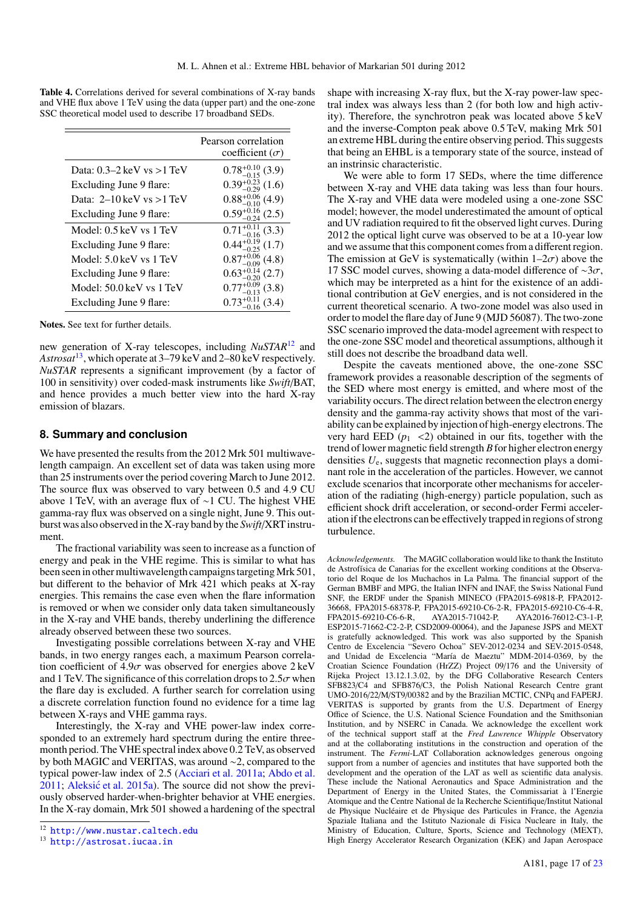<span id="page-17-1"></span>

|                                              | Pearson correlation<br>coefficient $(\sigma)$ |
|----------------------------------------------|-----------------------------------------------|
| Data: $0.3-2$ keV vs $>1$ TeV                | $0.78_{-0.15}^{+0.10}$ (3.9)                  |
| Excluding June 9 flare:                      | $0.39_{-0.29}^{+0.23}$ (1.6)                  |
| Data: $2-10 \text{ keV}$ vs $>1 \text{ TeV}$ | $0.88^{+0.06}_{-0.10}$ (4.9)                  |
| Excluding June 9 flare:                      | $0.59^{+0}$<br>(2.5)                          |
| Model: 0.5 keV vs 1 TeV                      | (3.3)<br>0.71                                 |
| Excluding June 9 flare:                      | $0.44^{+}$<br>(1.7)                           |
| Model: 5.0 keV vs 1 TeV                      | $0.87^{+0.06}_{-0.09}$ (4.8)                  |
| Excluding June 9 flare:                      | $\frac{14}{20}$ (2.7)<br>$0.63^{+}$           |
| Model: 50.0 keV vs 1 TeV                     | (3.8)                                         |
| Excluding June 9 flare:                      | (3.4)                                         |

Table 4. Correlations derived for several combinations of X-ray bands and VHE flux above 1 TeV using the data (upper part) and the one-zone SSC theoretical model used to describe  $17 \text{ h}$ 

Notes. See text for further details.

new generation of X-ray telescopes, including *NuSTAR*[12](#page-17-2) and *Astrosat*[13](#page-17-3), which operate at 3–79 keV and 2–80 keV respectively. *NuSTAR* represents a significant improvement (by a factor of 100 in sensitivity) over coded-mask instruments like *Swift*/BAT, and hence provides a much better view into the hard X-ray emission of blazars.

## <span id="page-17-0"></span>**8. Summary and conclusion**

We have presented the results from the 2012 Mrk 501 multiwavelength campaign. An excellent set of data was taken using more than 25 instruments over the period covering March to June 2012. The source flux was observed to vary between 0.5 and 4.9 CU above 1 TeV, with an average flux of ∼1 CU. The highest VHE gamma-ray flux was observed on a single night, June 9. This outburst was also observed in the X-ray band by the *Swift*/XRT instrument.

The fractional variability was seen to increase as a function of energy and peak in the VHE regime. This is similar to what has been seen in other multiwavelength campaigns targetingMrk 501, but different to the behavior of Mrk 421 which peaks at X-ray energies. This remains the case even when the flare information is removed or when we consider only data taken simultaneously in the X-ray and VHE bands, thereby underlining the difference already observed between these two sources.

Investigating possible correlations between X-ray and VHE bands, in two energy ranges each, a maximum Pearson correlation coefficient of  $4.9\sigma$  was observed for energies above  $2 \text{ keV}$ and 1 TeV. The significance of this correlation drops to  $2.5\sigma$  when the flare day is excluded. A further search for correlation using a discrete correlation function found no evidence for a time lag between X-rays and VHE gamma rays.

Interestingly, the X-ray and VHE power-law index corresponded to an extremely hard spectrum during the entire threemonth period. The VHE spectral index above 0.2 TeV, as observed by both MAGIC and VERITAS, was around ∼2, compared to the typical power-law index of 2.5 [\(Acciari et al.](#page-18-87) [2011a;](#page-18-87) [Abdo et al.](#page-18-20)  $2011$ ; Aleksić et al.  $2015a$ ). The source did not show the previously observed harder-when-brighter behavior at VHE energies. In the X-ray domain, Mrk 501 showed a hardening of the spectral

shape with increasing X-ray flux, but the X-ray power-law spectral index was always less than 2 (for both low and high activity). Therefore, the synchrotron peak was located above 5 keV and the inverse-Compton peak above 0.5 TeV, making Mrk 501 an extreme HBL during the entire observing period. This suggests that being an EHBL is a temporary state of the source, instead of an instrinsic characteristic.

We were able to form 17 SEDs, where the time difference between X-ray and VHE data taking was less than four hours. The X-ray and VHE data were modeled using a one-zone SSC model; however, the model underestimated the amount of optical and UV radiation required to fit the observed light curves. During 2012 the optical light curve was observed to be at a 10-year low and we assume that this component comes from a different region. The emission at GeV is systematically (within  $1-2\sigma$ ) above the 17 SSC model curves, showing a data-model difference of  $\sim$ 3 $\sigma$ , which may be interpreted as a hint for the existence of an additional contribution at GeV energies, and is not considered in the current theoretical scenario. A two-zone model was also used in order to model the flare day of June 9 (MJD 56087). The two-zone SSC scenario improved the data-model agreement with respect to the one-zone SSC model and theoretical assumptions, although it still does not describe the broadband data well.

Despite the caveats mentioned above, the one-zone SSC framework provides a reasonable description of the segments of the SED where most energy is emitted, and where most of the variability occurs. The direct relation between the electron energy density and the gamma-ray activity shows that most of the variability can be explained by injection of high-energy electrons. The very hard EED  $(p_1 \leq 2)$  obtained in our fits, together with the trend of lower magnetic field strength *B*for higher electron energy densities *U*e, suggests that magnetic reconnection plays a dominant role in the acceleration of the particles. However, we cannot exclude scenarios that incorporate other mechanisms for acceleration of the radiating (high-energy) particle population, such as efficient shock drift acceleration, or second-order Fermi acceleration if the electrons can be effectively trapped in regions of strong turbulence.

*Acknowledgements.* The MAGIC collaboration would like to thank the Instituto de Astrofísica de Canarias for the excellent working conditions at the Observatorio del Roque de los Muchachos in La Palma. The financial support of the German BMBF and MPG, the Italian INFN and INAF, the Swiss National Fund SNF, the ERDF under the Spanish MINECO (FPA2015-69818-P, FPA2012- 36668, FPA2015-68378-P, FPA2015-69210-C6-2-R, FPA2015-69210-C6-4-R, AYA2016-76012-C3-1-P. ESP2015-71662-C2-2-P, CSD2009-00064), and the Japanese JSPS and MEXT is gratefully acknowledged. This work was also supported by the Spanish Centro de Excelencia "Severo Ochoa" SEV-2012-0234 and SEV-2015-0548, and Unidad de Excelencia "María de Maeztu" MDM-2014-0369, by the Croatian Science Foundation (HrZZ) Project 09/176 and the University of Rijeka Project 13.12.1.3.02, by the DFG Collaborative Research Centers SFB823/C4 and SFB876/C3, the Polish National Research Centre grant UMO-2016/22/M/ST9/00382 and by the Brazilian MCTIC, CNPq and FAPERJ. VERITAS is supported by grants from the U.S. Department of Energy Office of Science, the U.S. National Science Foundation and the Smithsonian Institution, and by NSERC in Canada. We acknowledge the excellent work of the technical support staff at the *Fred Lawrence Whipple* Observatory and at the collaborating institutions in the construction and operation of the instrument. The *Fermi*-LAT Collaboration acknowledges generous ongoing support from a number of agencies and institutes that have supported both the development and the operation of the LAT as well as scientific data analysis. These include the National Aeronautics and Space Administration and the Department of Energy in the United States, the Commissariat à l'Energie Atomique and the Centre National de la Recherche Scientifique/Institut National de Physique Nucléaire et de Physique des Particules in France, the Agenzia Spaziale Italiana and the Istituto Nazionale di Fisica Nucleare in Italy, the Ministry of Education, Culture, Sports, Science and Technology (MEXT), High Energy Accelerator Research Organization (KEK) and Japan Aerospace

<span id="page-17-2"></span><sup>12</sup> <http://www.nustar.caltech.edu>

<span id="page-17-3"></span><sup>13</sup> <http://astrosat.iucaa.in>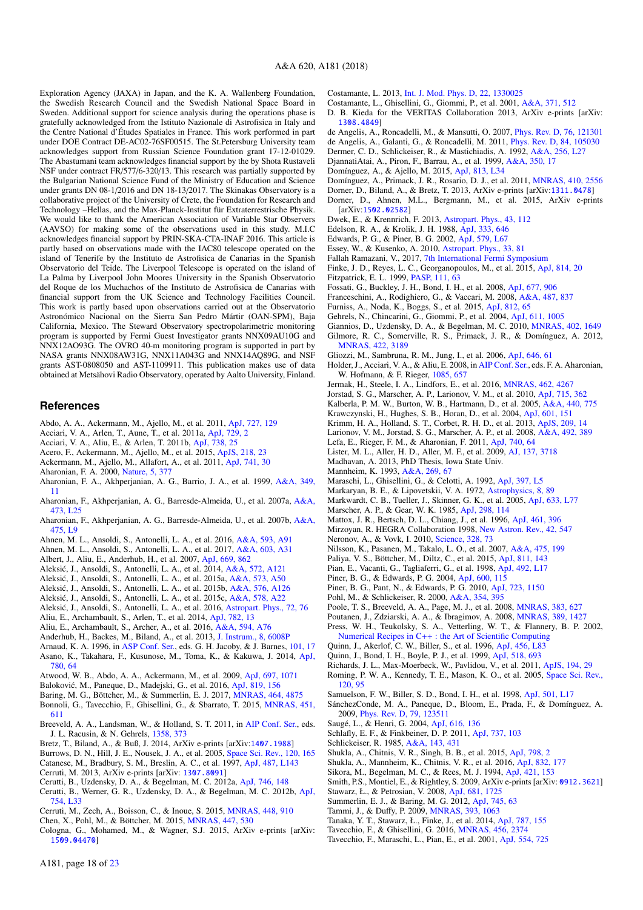Exploration Agency (JAXA) in Japan, and the K. A. Wallenberg Foundation, the Swedish Research Council and the Swedish National Space Board in Sweden. Additional support for science analysis during the operations phase is gratefully acknowledged from the Istituto Nazionale di Astrofisica in Italy and the Centre National d'Études Spatiales in France. This work performed in part under DOE Contract DE-AC02-76SF00515. The St.Petersburg University team acknowledges support from Russian Science Foundation grant 17-12-01029. The Abastumani team acknowledges financial support by the by Shota Rustaveli NSF under contract FR/577/6-320/13. This research was partially supported by the Bulgarian National Science Fund of the Ministry of Education and Science under grants DN 08-1/2016 and DN 18-13/2017. The Skinakas Observatory is a collaborative project of the University of Crete, the Foundation for Research and Technology –Hellas, and the Max-Planck-Institut für Extraterrestrische Physik. We would like to thank the American Association of Variable Star Observers (AAVSO) for making some of the observations used in this study. M.I.C acknowledges financial support by PRIN-SKA-CTA-INAF 2016. This article is partly based on observations made with the IAC80 telescope operated on the island of Tenerife by the Instituto de Astrofisica de Canarias in the Spanish Observatorio del Teide. The Liverpool Telescope is operated on the island of La Palma by Liverpool John Moores University in the Spanish Observatorio del Roque de los Muchachos of the Instituto de Astrofisica de Canarias with financial support from the UK Science and Technology Facilities Council. This work is partly based upon observations carried out at the Observatorio Astronómico Nacional on the Sierra San Pedro Mártir (OAN-SPM), Baja California, Mexico. The Steward Observatory spectropolarimetric monitoring program is supported by Fermi Guest Investigator grants NNX09AU10G and NNX12AO93G. The OVRO 40-m monitoring program is supported in part by NASA grants NNX08AW31G, NNX11A043G and NNX14AQ89G, and NSF grants AST-0808050 and AST-1109911. This publication makes use of data obtained at Metsähovi Radio Observatory, operated by Aalto University, Finland.

### **References**

- <span id="page-18-20"></span>Abdo, A. A., Ackermann, M., Ajello, M., et al. 2011, [ApJ, 727, 129](http://linker.aanda.org/10.1051/0004-6361/201833704/1)
- <span id="page-18-87"></span>Acciari, V. A., Arlen, T., Aune, T., et al. 2011a, [ApJ, 729, 2](http://linker.aanda.org/10.1051/0004-6361/201833704/2)
- <span id="page-18-105"></span>Acciari, V. A., Aliu, E., & Arlen, T. 2011b, [ApJ, 738, 25](http://linker.aanda.org/10.1051/0004-6361/201833704/3)
- <span id="page-18-33"></span>Acero, F., Ackermann, M., Ajello, M., et al. 2015, [ApJS, 218, 23](http://linker.aanda.org/10.1051/0004-6361/201833704/4)
- <span id="page-18-51"></span>Ackermann, M., Ajello, M., Allafort, A., et al. 2011, [ApJ, 741, 30](http://linker.aanda.org/10.1051/0004-6361/201833704/5)
- <span id="page-18-7"></span>Aharonian, F. A. 2000, [Nature, 5, 377](http://linker.aanda.org/10.1051/0004-6361/201833704/6)
- <span id="page-18-12"></span>Aharonian, F. A., Akhperjanian, A. G., Barrio, J. A., et al. 1999, [A&A, 349,](http://linker.aanda.org/10.1051/0004-6361/201833704/7) [11](http://linker.aanda.org/10.1051/0004-6361/201833704/7)
- <span id="page-18-73"></span>Aharonian, F., Akhperjanian, A. G., Barresde-Almeida, U., et al. 2007a, [A&A,](http://linker.aanda.org/10.1051/0004-6361/201833704/8) [473, L25](http://linker.aanda.org/10.1051/0004-6361/201833704/8)
- <span id="page-18-15"></span>Aharonian, F., Akhperjanian, A. G., Barresde-Almeida, U., et al. 2007b, [A&A,](http://linker.aanda.org/10.1051/0004-6361/201833704/9) [475, L9](http://linker.aanda.org/10.1051/0004-6361/201833704/9)
- <span id="page-18-106"></span>Ahnen, M. L., Ansoldi, S., Antonelli, L. A., et al. 2016, [A&A, 593, A91](http://linker.aanda.org/10.1051/0004-6361/201833704/10)
- <span id="page-18-23"></span>Ahnen, M. L., Ansoldi, S., Antonelli, L. A., et al. 2017, [A&A, 603, A31](http://linker.aanda.org/10.1051/0004-6361/201833704/11)
- <span id="page-18-59"></span>Albert, J., Aliu, E., Anderhub, H., et al. 2007, [ApJ, 669, 862](http://linker.aanda.org/10.1051/0004-6361/201833704/12)
- <span id="page-18-54"></span>Aleksić, J., Ansoldi, S., Antonelli, L. A., et al. 2014, [A&A, 572, A121](http://linker.aanda.org/10.1051/0004-6361/201833704/13)
- <span id="page-18-21"></span>Aleksić, J., Ansoldi, S., Antonelli, L. A., et al. 2015a, [A&A, 573, A50](http://linker.aanda.org/10.1051/0004-6361/201833704/14)
- <span id="page-18-55"></span>Aleksić, J., Ansoldi, S., Antonelli, L. A., et al. 2015b,  $A&A$ , 576, A126
- <span id="page-18-69"></span>Aleksić, J., Ansoldi, S., Antonelli, L. A., et al. 2015c,  $A&A$ , 578, A22
- <span id="page-18-13"></span>Aleksić, J., Ansoldi, S., Antonelli, L. A., et al. 2016, [Astropart. Phys., 72, 76](http://linker.aanda.org/10.1051/0004-6361/201833704/17)
- <span id="page-18-71"></span>Aliu, E., Archambault, S., Arlen, T., et al. 2014, [ApJ, 782, 13](http://linker.aanda.org/10.1051/0004-6361/201833704/18)
- <span id="page-18-89"></span>Aliu, E., Archambault, S., Archer, A., et al. 2016, [A&A, 594, A76](http://linker.aanda.org/10.1051/0004-6361/201833704/19)
- <span id="page-18-28"></span>Anderhub, H., Backes, M., Biland, A., et al. 2013, [J. Instrum., 8, 6008P](http://linker.aanda.org/10.1051/0004-6361/201833704/20)
- <span id="page-18-62"></span>Arnaud, K. A. 1996, in [ASP Conf. Ser.,](http://linker.aanda.org/10.1051/0004-6361/201833704/21) eds. G. H. Jacoby, & J. Barnes, [101, 17](http://linker.aanda.org/10.1051/0004-6361/201833704/21)
- <span id="page-18-96"></span>Asano, K., Takahara, F., Kusunose, M., Toma, K., & Kakuwa, J. 2014, [ApJ,](http://linker.aanda.org/10.1051/0004-6361/201833704/22) [780, 64](http://linker.aanda.org/10.1051/0004-6361/201833704/22)
- <span id="page-18-32"></span>Atwood, W. B., Abdo, A. A., Ackermann, M., et al. 2009, [ApJ, 697, 1071](http://linker.aanda.org/10.1051/0004-6361/201833704/23)
- <span id="page-18-102"></span>Baloković, M., Paneque, D., Madejski, G., et al. 2016, [ApJ, 819, 156](http://linker.aanda.org/10.1051/0004-6361/201833704/24)
- <span id="page-18-68"></span>Baring, M. G., Böttcher, M., & Summerlin, E. J. 2017, [MNRAS, 464, 4875](http://linker.aanda.org/10.1051/0004-6361/201833704/25)
- <span id="page-18-16"></span>Bonnoli, G., Tavecchio, F., Ghisellini, G., & Sbarrato, T. 2015, [MNRAS, 451,](http://linker.aanda.org/10.1051/0004-6361/201833704/26) [611](http://linker.aanda.org/10.1051/0004-6361/201833704/26)
- <span id="page-18-42"></span>Breeveld, A. A., Landsman, W., & Holland, S. T. 2011, in [AIP Conf. Ser.,](http://linker.aanda.org/10.1051/0004-6361/201833704/27) eds. J. L. Racusin, & N. Gehrels, [1358, 373](http://linker.aanda.org/10.1051/0004-6361/201833704/27)
- <span id="page-18-31"></span>Bretz, T., Biland, A., & Buß, J. 2014, ArXiv e-prints [arXiv:[1407.1988](http://arxiv.org/abs/1407.1988)]
- <span id="page-18-37"></span>Burrows, D. N., Hill, J. E., Nousek, J. A., et al. 2005, [Space Sci. Rev., 120, 165](http://linker.aanda.org/10.1051/0004-6361/201833704/29)
- <span id="page-18-9"></span>Catanese, M., Bradbury, S. M., Breslin, A. C., et al. 1997, [ApJ, 487, L143](http://linker.aanda.org/10.1051/0004-6361/201833704/30)
- <span id="page-18-72"></span>Cerruti, M. 2013, ArXiv e-prints [arXiv: [1307.8091](http://arxiv.org/abs/1307.8091)]
- <span id="page-18-99"></span>Cerutti, B., Uzdensky, D. A., & Begelman, M. C. 2012a, [ApJ, 746, 148](http://linker.aanda.org/10.1051/0004-6361/201833704/32)
- <span id="page-18-100"></span>Cerutti, B., Werner, G. R., Uzdensky, D. A., & Begelman, M. C. 2012b, [ApJ,](http://linker.aanda.org/10.1051/0004-6361/201833704/33) [754, L33](http://linker.aanda.org/10.1051/0004-6361/201833704/33)
- <span id="page-18-80"></span>Cerruti, M., Zech, A., Boisson, C., & Inoue, S. 2015, [MNRAS, 448, 910](http://linker.aanda.org/10.1051/0004-6361/201833704/34)
- <span id="page-18-90"></span>Chen, X., Pohl, M., & Böttcher, M. 2015, [MNRAS, 447, 530](http://linker.aanda.org/10.1051/0004-6361/201833704/35)

A181, page 18 of [23](#page-1-0)

<span id="page-18-86"></span>Cologna, G., Mohamed, M., & Wagner, S.J. 2015, ArXiv e-prints [arXiv: [1509.04470](http://arxiv.org/abs/1509.04470)]

<span id="page-18-82"></span>Costamante, L. 2013, [Int. J. Mod. Phys. D, 22, 1330025](http://linker.aanda.org/10.1051/0004-6361/201833704/37)

- <span id="page-18-70"></span>Costamante, L., Ghisellini, G., Giommi, P., et al. 2001, [A&A, 371, 512](http://linker.aanda.org/10.1051/0004-6361/201833704/38)
- <span id="page-18-24"></span>D. B. Kieda for the VERITAS Collaboration 2013, ArXiv e-prints [arXiv: [1308.4849](http://arxiv.org/abs/1308.4849)]
- <span id="page-18-84"></span><span id="page-18-83"></span>de Angelis, A., Roncadelli, M., & Mansutti, O. 2007, [Phys. Rev. D, 76, 121301](http://linker.aanda.org/10.1051/0004-6361/201833704/40) de Angelis, A., Galanti, G., & Roncadelli, M. 2011, [Phys. Rev. D, 84, 105030](http://linker.aanda.org/10.1051/0004-6361/201833704/41)
- <span id="page-18-4"></span>Dermer, C. D., Schlickeiser, R., & Mastichiadis, A. 1992, [A&A, 256, L27](http://linker.aanda.org/10.1051/0004-6361/201833704/42)
- <span id="page-18-10"></span>DjannatiAtai, A., Piron, F., Barrau, A., et al. 1999, [A&A, 350, 17](http://linker.aanda.org/10.1051/0004-6361/201833704/43)
- <span id="page-18-76"></span>Domínguez, A., & Ajello, M. 2015, [ApJ, 813, L34](http://linker.aanda.org/10.1051/0004-6361/201833704/44)
- <span id="page-18-18"></span>Domínguez, A., Primack, J. R., Rosario, D. J., et al. 2011, [MNRAS, 410, 2556](http://linker.aanda.org/10.1051/0004-6361/201833704/45)
- <span id="page-18-29"></span>Dorner, D., Biland, A., & Bretz, T. 2013, ArXiv e-prints [arXiv:[1311.0478](http://arxiv.org/abs/1311.0478)]
- <span id="page-18-30"></span>Dorner, D., Ahnen, M.L., Bergmann, M., et al. 2015, ArXiv e-prints [arXiv:[1502.02582](http://arxiv.org/abs/1502.02582)]
- <span id="page-18-14"></span>Dwek, E., & Krennrich, F. 2013, [Astropart. Phys., 43, 112](http://linker.aanda.org/10.1051/0004-6361/201833704/48)
- <span id="page-18-57"></span>Edelson, R. A., & Krolik, J. H. 1988, [ApJ, 333, 646](http://linker.aanda.org/10.1051/0004-6361/201833704/49)
- <span id="page-18-65"></span>Edwards, P. G., & Piner, B. G. 2002, [ApJ, 579, L67](http://linker.aanda.org/10.1051/0004-6361/201833704/50)
- <span id="page-18-79"></span>Essey, W., & Kusenko, A. 2010, [Astropart. Phys., 33, 81](http://linker.aanda.org/10.1051/0004-6361/201833704/51)
- <span id="page-18-75"></span>Fallah Ramazani, V., 2017, [7th International Fermi Symposium](http://linker.aanda.org/10.1051/0004-6361/201833704/52)
- <span id="page-18-77"></span><span id="page-18-44"></span>Finke, J. D., Reyes, L. C., Georganopoulos, M., et al. 2015, [ApJ, 814, 20](http://linker.aanda.org/10.1051/0004-6361/201833704/53) Fitzpatrick, E. L. 1999, [PASP, 111, 63](http://linker.aanda.org/10.1051/0004-6361/201833704/54)
- <span id="page-18-104"></span>Fossati, G., Buckley, J. H., Bond, I. H., et al. 2008, [ApJ, 677, 906](http://linker.aanda.org/10.1051/0004-6361/201833704/55)
- <span id="page-18-17"></span>Franceschini, A., Rodighiero, G., & Vaccari, M. 2008, [A&A, 487, 837](http://linker.aanda.org/10.1051/0004-6361/201833704/56)
- <span id="page-18-22"></span>Furniss, A., Noda, K., Boggs, S., et al. 2015, [ApJ, 812, 65](http://linker.aanda.org/10.1051/0004-6361/201833704/57)
- <span id="page-18-34"></span>Gehrels, N., Chincarini, G., Giommi, P., et al. 2004, [ApJ, 611, 1005](http://linker.aanda.org/10.1051/0004-6361/201833704/58)
- <span id="page-18-97"></span>Giannios, D., Uzdensky, D. A., & Begelman, M. C. 2010, [MNRAS, 402, 1649](http://linker.aanda.org/10.1051/0004-6361/201833704/59)
- <span id="page-18-19"></span>Gilmore, R. C., Somerville, R. S., Primack, J. R., & Domínguez, A. 2012, [MNRAS, 422, 3189](http://linker.aanda.org/10.1051/0004-6361/201833704/60)
- <span id="page-18-103"></span>Gliozzi, M., Sambruna, R. M., Jung, I., et al. 2006, [ApJ, 646, 61](http://linker.aanda.org/10.1051/0004-6361/201833704/61)
- <span id="page-18-25"></span>Holder, J., Acciari, V. A., & Aliu, E. 2008, in [AIP Conf. Ser.,](http://linker.aanda.org/10.1051/0004-6361/201833704/62) eds. F. A. Aharonian, W. Hofmann, & F. Rieger, [1085, 657](http://linker.aanda.org/10.1051/0004-6361/201833704/62)
- <span id="page-18-49"></span>Jermak, H., Steele, I. A., Lindfors, E., et al. 2016, [MNRAS, 462, 4267](http://linker.aanda.org/10.1051/0004-6361/201833704/63)
- <span id="page-18-48"></span>Jorstad, S. G., Marscher, A. P., Larionov, V. M., et al. 2010, [ApJ, 715, 362](http://linker.aanda.org/10.1051/0004-6361/201833704/64)
- <span id="page-18-40"></span>Kalberla, P. M. W., Burton, W. B., Hartmann, D., et al. 2005, [A&A, 440, 775](http://linker.aanda.org/10.1051/0004-6361/201833704/65)
- <span id="page-18-61"></span>Krawczynski, H., Hughes, S. B., Horan, D., et al. 2004, [ApJ, 601, 151](http://linker.aanda.org/10.1051/0004-6361/201833704/66)
- <span id="page-18-39"></span>Krimm, H. A., Holland, S. T., Corbet, R. H. D., et al. 2013, [ApJS, 209, 14](http://linker.aanda.org/10.1051/0004-6361/201833704/67)
- <span id="page-18-46"></span>Larionov, V. M., Jorstad, S. G., Marscher, A. P., et al. 2008, [A&A, 492, 389](http://linker.aanda.org/10.1051/0004-6361/201833704/68)
- <span id="page-18-78"></span>Lefa, E., Rieger, F. M., & Aharonian, F. 2011, [ApJ, 740, 64](http://linker.aanda.org/10.1051/0004-6361/201833704/69)
- <span id="page-18-52"></span>Lister, M. L., Aller, H. D., Aller, M. F., et al. 2009, [AJ, 137, 3718](http://linker.aanda.org/10.1051/0004-6361/201833704/70)
- <span id="page-18-26"></span>Madhavan, A. 2013, PhD Thesis, Iowa State Univ.
- <span id="page-18-6"></span>Mannheim, K. 1993, [A&A, 269, 67](http://linker.aanda.org/10.1051/0004-6361/201833704/72)
- <span id="page-18-3"></span>Maraschi, L., Ghisellini, G., & Celotti, A. 1992, [ApJ, 397, L5](http://linker.aanda.org/10.1051/0004-6361/201833704/73)
- <span id="page-18-0"></span>Markaryan, B. E., & Lipovetskii, V. A. 1972, [Astrophysics, 8, 89](http://linker.aanda.org/10.1051/0004-6361/201833704/74)
- <span id="page-18-36"></span>Markwardt, C. B., Tueller, J., Skinner, G. K., et al. 2005, [ApJ, 633, L77](http://linker.aanda.org/10.1051/0004-6361/201833704/75)
- <span id="page-18-2"></span>Marscher, A. P., & Gear, W. K. 1985, [ApJ, 298, 114](http://linker.aanda.org/10.1051/0004-6361/201833704/76)
- <span id="page-18-35"></span>Mattox, J. R., Bertsch, D. L., Chiang, J., et al. 1996, [ApJ, 461, 396](http://linker.aanda.org/10.1051/0004-6361/201833704/77)
- <span id="page-18-27"></span>Mirzoyan, R. HEGRA Collaboration 1998, [New Astron. Rev., 42, 547](http://linker.aanda.org/10.1051/0004-6361/201833704/78)
- <span id="page-18-81"></span>Neronov, A., & Vovk, I. 2010, [Science, 328, 73](http://linker.aanda.org/10.1051/0004-6361/201833704/79)
- <span id="page-18-45"></span>Nilsson, K., Pasanen, M., Takalo, L. O., et al. 2007, [A&A, 475, 199](http://linker.aanda.org/10.1051/0004-6361/201833704/80)
- <span id="page-18-98"></span>Paliya, V. S., Böttcher, M., Diltz, C., et al. 2015, [ApJ, 811, 143](http://linker.aanda.org/10.1051/0004-6361/201833704/81)
- <span id="page-18-58"></span>Pian, E., Vacanti, G., Tagliaferri, G., et al. 1998, [ApJ, 492, L17](http://linker.aanda.org/10.1051/0004-6361/201833704/82)
- <span id="page-18-64"></span>Piner, B. G., & Edwards, P. G. 2004, [ApJ, 600, 115](http://linker.aanda.org/10.1051/0004-6361/201833704/83)
- <span id="page-18-63"></span>Piner, B. G., Pant, N., & Edwards, P. G. 2010, [ApJ, 723, 1150](http://linker.aanda.org/10.1051/0004-6361/201833704/84)
- <span id="page-18-8"></span>Pohl, M., & Schlickeiser, R. 2000, [A&A, 354, 395](http://linker.aanda.org/10.1051/0004-6361/201833704/85)
- <span id="page-18-41"></span>Poole, T. S., Breeveld, A. A., Page, M. J., et al. 2008, [MNRAS, 383, 627](http://linker.aanda.org/10.1051/0004-6361/201833704/86)
- <span id="page-18-53"></span>Poutanen, J., Zdziarski, A. A., & Ibragimov, A. 2008, [MNRAS, 389, 1427](http://linker.aanda.org/10.1051/0004-6361/201833704/87)
- <span id="page-18-56"></span>Press, W. H., Teukolsky, S. A., Vetterling, W. T., & Flannery, B. P. 2002, Numerical Recipes in C++ [: the Art of Scientific Computing](http://linker.aanda.org/10.1051/0004-6361/201833704/88)
- <span id="page-18-1"></span>Quinn, J., Akerlof, C. W., Biller, S., et al. 1996, [ApJ, 456, L83](http://linker.aanda.org/10.1051/0004-6361/201833704/89)
- <span id="page-18-11"></span>Quinn, J., Bond, I. H., Boyle, P. J., et al. 1999, [ApJ, 518, 693](http://linker.aanda.org/10.1051/0004-6361/201833704/90)
- <span id="page-18-50"></span>Richards, J. L., Max-Moerbeck, W., Pavlidou, V., et al. 2011, [ApJS, 194, 29](http://linker.aanda.org/10.1051/0004-6361/201833704/91)
- <span id="page-18-38"></span>Roming, P. W. A., Kennedy, T. E., Mason, K. O., et al. 2005, [Space Sci. Rev.,](http://linker.aanda.org/10.1051/0004-6361/201833704/92) [120, 95](http://linker.aanda.org/10.1051/0004-6361/201833704/92)
- <span id="page-18-88"></span>Samuelson, F. W., Biller, S. D., Bond, I. H., et al. 1998, [ApJ, 501, L17](http://linker.aanda.org/10.1051/0004-6361/201833704/93)
- <span id="page-18-85"></span>SánchezConde, M. A., Paneque, D., Bloom, E., Prada, F., & Domínguez, A. 2009, [Phys. Rev. D, 79, 123511](http://linker.aanda.org/10.1051/0004-6361/201833704/94)

<span id="page-18-47"></span>Smith, P.S., Montiel, E., & Rightley, S. 2009, ArXiv e-prints [arXiv: [0912.3621](http://arxiv.org/abs/0912.3621)]

- <span id="page-18-93"></span>Saugé, L., & Henri, G. 2004, [ApJ, 616, 136](http://linker.aanda.org/10.1051/0004-6361/201833704/95)
- <span id="page-18-43"></span>Schlafly, E. F., & Finkbeiner, D. P. 2011, [ApJ, 737, 103](http://linker.aanda.org/10.1051/0004-6361/201833704/96)

<span id="page-18-101"></span><span id="page-18-95"></span>Stawarz, Ł., & Petrosian, V. 2008, [ApJ, 681, 1725](http://linker.aanda.org/10.1051/0004-6361/201833704/102) Summerlin, E. J., & Baring, M. G. 2012, [ApJ, 745, 63](http://linker.aanda.org/10.1051/0004-6361/201833704/103) Tammi, J., & Duffy, P. 2009, [MNRAS, 393, 1063](http://linker.aanda.org/10.1051/0004-6361/201833704/104)

- <span id="page-18-94"></span>Schlickeiser, R. 1985, [A&A, 143, 431](http://linker.aanda.org/10.1051/0004-6361/201833704/97)
- <span id="page-18-66"></span>Shukla, A., Chitnis, V. R., Singh, B. B., et al. 2015, [ApJ, 798, 2](http://linker.aanda.org/10.1051/0004-6361/201833704/98) Sikora, M., Begelman, M. C., & Rees, M. J. 1994, [ApJ, 421, 153](http://linker.aanda.org/10.1051/0004-6361/201833704/100)

<span id="page-18-91"></span><span id="page-18-74"></span><span id="page-18-67"></span><span id="page-18-60"></span>Tanaka, Y. T., Stawarz, Ł., Finke, J., et al. 2014, [ApJ, 787, 155](http://linker.aanda.org/10.1051/0004-6361/201833704/105) Tavecchio, F., & Ghisellini, G. 2016, [MNRAS, 456, 2374](http://linker.aanda.org/10.1051/0004-6361/201833704/106) Tavecchio, F., Maraschi, L., Pian, E., et al. 2001, [ApJ, 554, 725](http://linker.aanda.org/10.1051/0004-6361/201833704/107)

<span id="page-18-92"></span><span id="page-18-5"></span>Shukla, A., Mannheim, K., Chitnis, V. R., et al. 2016, [ApJ, 832, 177](http://linker.aanda.org/10.1051/0004-6361/201833704/99)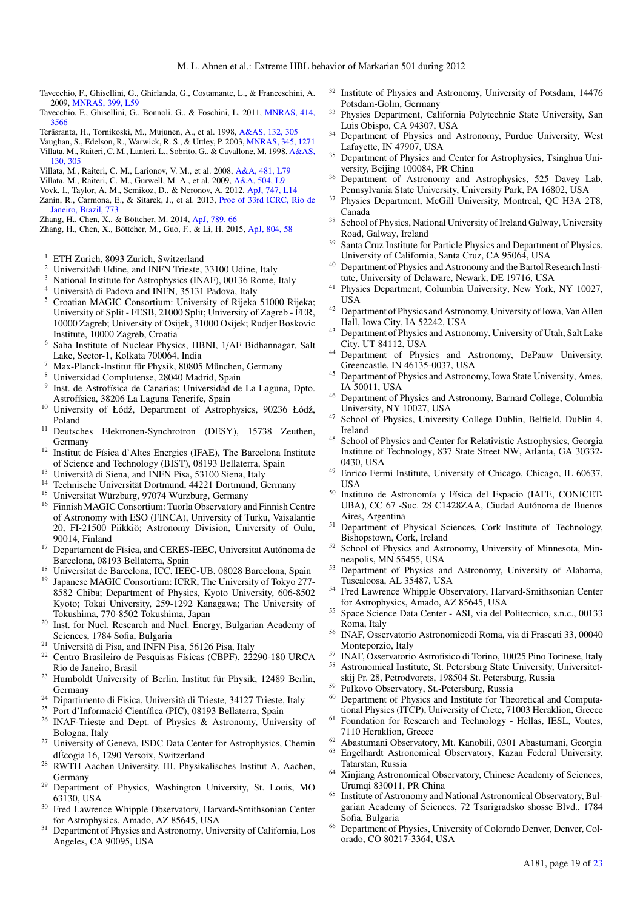- <span id="page-19-73"></span>Tavecchio, F., Ghisellini, G., Ghirlanda, G., Costamante, L., & Franceschini, A. 2009, [MNRAS, 399, L59](http://linker.aanda.org/10.1051/0004-6361/201833704/108)
- <span id="page-19-71"></span>Tavecchio, F., Ghisellini, G., Bonnoli, G., & Foschini, L. 2011, [MNRAS, 414,](http://linker.aanda.org/10.1051/0004-6361/201833704/109) [3566](http://linker.aanda.org/10.1051/0004-6361/201833704/109)
- <span id="page-19-69"></span>Teräsranta, H., Tornikoski, M., Mujunen, A., et al. 1998, [A&AS, 132, 305](http://linker.aanda.org/10.1051/0004-6361/201833704/110)
- <span id="page-19-70"></span><span id="page-19-68"></span>Vaughan, S., Edelson, R., Warwick, R. S., & Uttley, P. 2003, [MNRAS, 345, 1271](http://linker.aanda.org/10.1051/0004-6361/201833704/111) Villata, M., Raiteri, C. M., Lanteri, L., Sobrito, G., & Cavallone, M. 1998, [A&AS,](http://linker.aanda.org/10.1051/0004-6361/201833704/112) [130, 305](http://linker.aanda.org/10.1051/0004-6361/201833704/112)
- <span id="page-19-66"></span>Villata, M., Raiteri, C. M., Larionov, V. M., et al. 2008, [A&A, 481, L79](http://linker.aanda.org/10.1051/0004-6361/201833704/113)
- <span id="page-19-67"></span>Villata, M., Raiteri, C. M., Gurwell, M. A., et al. 2009, [A&A, 504, L9](http://linker.aanda.org/10.1051/0004-6361/201833704/114)
- <span id="page-19-72"></span><span id="page-19-65"></span>Vovk, I., Taylor, A. M., Semikoz, D., & Neronov, A. 2012, [ApJ, 747, L14](http://linker.aanda.org/10.1051/0004-6361/201833704/115) Zanin, R., Carmona, E., & Sitarek, J., et al. 2013, [Proc of 33rd ICRC, Rio de](http://linker.aanda.org/10.1051/0004-6361/201833704/116)
- [Janeiro, Brazil, 773](http://linker.aanda.org/10.1051/0004-6361/201833704/116) Zhang, H., Chen, X., & Böttcher, M. 2014, [ApJ, 789, 66](http://linker.aanda.org/10.1051/0004-6361/201833704/117)
- <span id="page-19-75"></span><span id="page-19-74"></span>Zhang, H., Chen, X., Böttcher, M., Guo, F., & Li, H. 2015, [ApJ, 804, 58](http://linker.aanda.org/10.1051/0004-6361/201833704/118)
- <span id="page-19-0"></span><sup>1</sup> ETH Zurich, 8093 Zurich, Switzerland
- <span id="page-19-1"></span><sup>2</sup> Universitàdi Udine, and INFN Trieste, 33100 Udine, Italy
- <span id="page-19-3"></span>National Institute for Astrophysics (INAF), 00136 Rome, Italy
- <span id="page-19-4"></span><sup>4</sup> Università di Padova and INFN, 35131 Padova, Italy
- <span id="page-19-5"></span><sup>5</sup> Croatian MAGIC Consortium: University of Rijeka 51000 Rijeka; University of Split - FESB, 21000 Split; University of Zagreb - FER, 10000 Zagreb; University of Osijek, 31000 Osijek; Rudjer Boskovic Institute, 10000 Zagreb, Croatia
- <span id="page-19-6"></span><sup>6</sup> Saha Institute of Nuclear Physics, HBNI, 1/AF Bidhannagar, Salt Lake, Sector-1, Kolkata 700064, India
- <span id="page-19-7"></span><sup>7</sup> Max-Planck-Institut für Physik, 80805 München, Germany
- <span id="page-19-9"></span><sup>8</sup> Universidad Complutense, 28040 Madrid, Spain
- <span id="page-19-10"></span>9 Inst. de Astrofísica de Canarias; Universidad de La Laguna, Dpto. Astrofísica, 38206 La Laguna Tenerife, Spain
- <span id="page-19-11"></span><sup>10</sup> University of Łódź, Department of Astrophysics, 90236 Łódź, Poland
- <span id="page-19-12"></span><sup>11</sup> Deutsches Elektronen-Synchrotron (DESY), 15738 Zeuthen, Germany
- <span id="page-19-15"></span><sup>12</sup> Institut de Física d'Altes Energies (IFAE), The Barcelona Institute of Science and Technology (BIST), 08193 Bellaterra, Spain
- <span id="page-19-16"></span><sup>13</sup> Università di Siena, and INFN Pisa, 53100 Siena, Italy
- <span id="page-19-18"></span><sup>14</sup> Technische Universität Dortmund, 44221 Dortmund, Germany
- <span id="page-19-19"></span><sup>15</sup> Universität Würzburg, 97074 Würzburg, Germany
- <span id="page-19-20"></span><sup>16</sup> Finnish MAGIC Consortium: Tuorla Observatory and Finnish Centre of Astronomy with ESO (FINCA), University of Turku, Vaisalantie 20, FI-21500 Piikkiö; Astronomy Division, University of Oulu, 90014, Finland
- <span id="page-19-21"></span><sup>17</sup> Departament de Física, and CERES-IEEC, Universitat Autónoma de Barcelona, 08193 Bellaterra, Spain
- <span id="page-19-22"></span><sup>18</sup> Universitat de Barcelona, ICC, IEEC-UB, 08028 Barcelona, Spain<br><sup>19</sup> Japanese MAGIC Consortium: ICPP, The University of Tokyo 277
- <span id="page-19-2"></span>Japanese MAGIC Consortium: ICRR, The University of Tokyo 277-8582 Chiba; Department of Physics, Kyoto University, 606-8502 Kyoto; Tokai University, 259-1292 Kanagawa; The University of Tokushima, 770-8502 Tokushima, Japan
- <span id="page-19-23"></span><sup>20</sup> Inst. for Nucl. Research and Nucl. Energy, Bulgarian Academy of Sciences, 1784 Sofia, Bulgaria
- <span id="page-19-25"></span><sup>21</sup> Università di Pisa, and INFN Pisa, 56126 Pisa, Italy<br><sup>22</sup> Centro Brasileiro de Pesquisas Efeicas (CBDE), 222
- <span id="page-19-8"></span><sup>22</sup> Centro Brasileiro de Pesquisas Físicas (CBPF), 22290-180 URCA Rio de Janeiro, Brasil
- <span id="page-19-13"></span><sup>23</sup> Humboldt University of Berlin, Institut für Physik, 12489 Berlin, Germany
- <span id="page-19-14"></span><sup>24</sup> Dipartimento di Fisica, Università di Trieste, 34127 Trieste, Italy
- <span id="page-19-17"></span><sup>25</sup> Port d'Informació Científica (PIC), 08193 Bellaterra, Spain<br><sup>26</sup> INAE Triasta and Dant, of Physics & Astronomy, Unive
- <span id="page-19-24"></span><sup>26</sup> INAF-Trieste and Dept. of Physics & Astronomy, University of Bologna, Italy
- <span id="page-19-26"></span><sup>27</sup> University of Geneva, ISDC Data Center for Astrophysics, Chemin dÉcogia 16, 1290 Versoix, Switzerland
- <span id="page-19-27"></span><sup>28</sup> RWTH Aachen University, III. Physikalisches Institut A, Aachen, Germany
- <span id="page-19-28"></span><sup>29</sup> Department of Physics, Washington University, St. Louis, MO 63130, USA
- <span id="page-19-29"></span>Fred Lawrence Whipple Observatory, Harvard-Smithsonian Center for Astrophysics, Amado, AZ 85645, USA
- <span id="page-19-30"></span><sup>31</sup> Department of Physics and Astronomy, University of California, Los Angeles, CA 90095, USA
- <span id="page-19-31"></span><sup>32</sup> Institute of Physics and Astronomy, University of Potsdam, 14476 Potsdam-Golm, Germany
- <span id="page-19-32"></span>Physics Department, California Polytechnic State University, San Luis Obispo, CA 94307, USA
- <span id="page-19-33"></span><sup>34</sup> Department of Physics and Astronomy, Purdue University, West Lafayette, IN 47907, USA
- <span id="page-19-34"></span><sup>35</sup> Department of Physics and Center for Astrophysics, Tsinghua University, Beijing 100084, PR China
- <span id="page-19-35"></span><sup>36</sup> Department of Astronomy and Astrophysics, 525 Davey Lab, Pennsylvania State University, University Park, PA 16802, USA
- <span id="page-19-36"></span><sup>37</sup> Physics Department, McGill University, Montreal, QC H3A 2T8, Canada
- <span id="page-19-37"></span><sup>38</sup> School of Physics, National University of Ireland Galway, University Road, Galway, Ireland
- <span id="page-19-38"></span><sup>39</sup> Santa Cruz Institute for Particle Physics and Department of Physics, University of California, Santa Cruz, CA 95064, USA
- <span id="page-19-39"></span><sup>40</sup> Department of Physics and Astronomy and the Bartol Research Institute, University of Delaware, Newark, DE 19716, USA
- <span id="page-19-40"></span><sup>41</sup> Physics Department, Columbia University, New York, NY 10027, USA
- <span id="page-19-41"></span><sup>42</sup> Department of Physics and Astronomy, University of Iowa, Van Allen Hall, Iowa City, IA 52242, USA
- <span id="page-19-42"></span><sup>43</sup> Department of Physics and Astronomy, University of Utah, Salt Lake City, UT 84112, USA
- <span id="page-19-43"></span><sup>44</sup> Department of Physics and Astronomy, DePauw University, Greencastle, IN 46135-0037, USA
- <span id="page-19-44"></span><sup>45</sup> Department of Physics and Astronomy, Iowa State University, Ames, IA 50011, USA
- <span id="page-19-45"></span><sup>46</sup> Department of Physics and Astronomy, Barnard College, Columbia University, NY 10027, USA
- <span id="page-19-46"></span><sup>47</sup> School of Physics, University College Dublin, Belfield, Dublin 4, Ireland
- <span id="page-19-47"></span><sup>48</sup> School of Physics and Center for Relativistic Astrophysics, Georgia Institute of Technology, 837 State Street NW, Atlanta, GA 30332- 0430, USA
- <span id="page-19-48"></span><sup>49</sup> Enrico Fermi Institute, University of Chicago, Chicago, IL 60637, USA
- <span id="page-19-49"></span><sup>50</sup> Instituto de Astronomía y Física del Espacio (IAFE, CONICET-UBA), CC 67 -Suc. 28 C1428ZAA, Ciudad Autónoma de Buenos Aires, Argentina
- <span id="page-19-50"></span><sup>51</sup> Department of Physical Sciences, Cork Institute of Technology, Bishopstown, Cork, Ireland
- <span id="page-19-51"></span><sup>52</sup> School of Physics and Astronomy, University of Minnesota, Minneapolis, MN 55455, USA
- <span id="page-19-52"></span>Department of Physics and Astronomy, University of Alabama, Tuscaloosa, AL 35487, USA
- <sup>54</sup> Fred Lawrence Whipple Observatory, Harvard-Smithsonian Center for Astrophysics, Amado, AZ 85645, USA
- <span id="page-19-53"></span><sup>55</sup> Space Science Data Center - ASI, via del Politecnico, s.n.c., 00133 Roma, Italy
- <span id="page-19-54"></span><sup>56</sup> INAF, Osservatorio Astronomicodi Roma, via di Frascati 33, 00040 Monteporzio, Italy
- <span id="page-19-55"></span><sup>57</sup> INAF, Osservatorio Astrofisico di Torino, 10025 Pino Torinese, Italy<br><sup>58</sup> Astronomical Institute St. Petersburg State University, University
- <span id="page-19-56"></span>Astronomical Institute, St. Petersburg State University, Universitetskij Pr. 28, Petrodvorets, 198504 St. Petersburg, Russia
- <span id="page-19-57"></span><sup>59</sup> Pulkovo Observatory, St.-Petersburg, Russia
- <span id="page-19-58"></span>Department of Physics and Institute for Theoretical and Computational Physics (ITCP), University of Crete, 71003 Heraklion, Greece
- <span id="page-19-59"></span>Foundation for Research and Technology - Hellas, IESL, Voutes, 7110 Heraklion, Greece
- <span id="page-19-60"></span><sup>62</sup> Abastumani Observatory, Mt. Kanobili, 0301 Abastumani, Georgia <sup>63</sup> Engelhardt Astronomical Observatory, Kazan Federal University,
- <span id="page-19-61"></span>Tatarstan, Russia
- <span id="page-19-62"></span><sup>64</sup> Xinjiang Astronomical Observatory, Chinese Academy of Sciences, Urumqi 830011, PR China
- <span id="page-19-63"></span><sup>65</sup> Institute of Astronomy and National Astronomical Observatory, Bulgarian Academy of Sciences, 72 Tsarigradsko shosse Blvd., 1784 Sofia, Bulgaria
- <span id="page-19-64"></span><sup>66</sup> Department of Physics, University of Colorado Denver, Denver, Colorado, CO 80217-3364, USA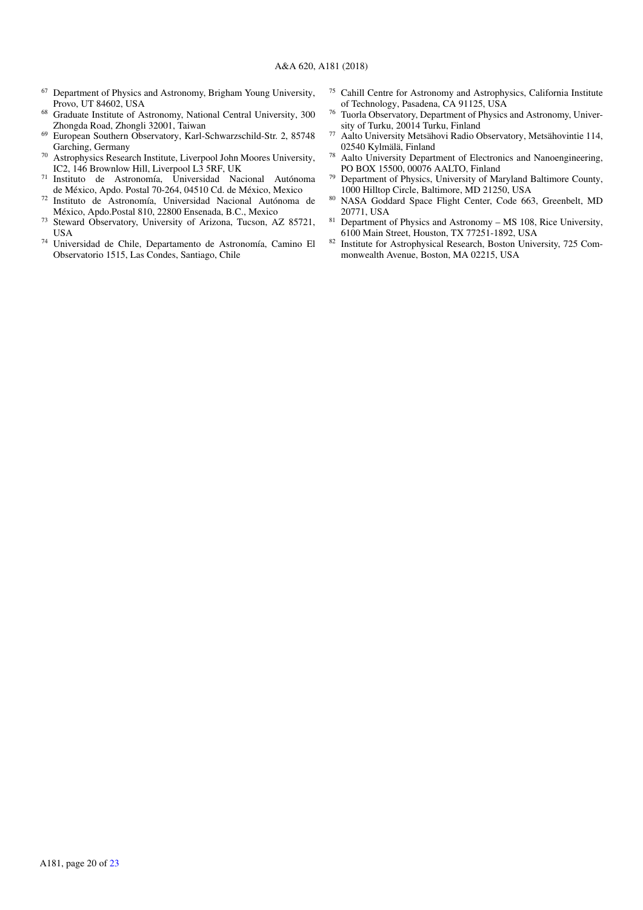- <span id="page-20-1"></span><sup>67</sup> Department of Physics and Astronomy, Brigham Young University, Provo, UT 84602, USA
- <span id="page-20-2"></span><sup>68</sup> Graduate Institute of Astronomy, National Central University, 300 Zhongda Road, Zhongli 32001, Taiwan
- <span id="page-20-3"></span><sup>69</sup> European Southern Observatory, Karl-Schwarzschild-Str. 2, 85748 Garching, Germany
- <span id="page-20-4"></span><sup>70</sup> Astrophysics Research Institute, Liverpool John Moores University, IC2, 146 Brownlow Hill, Liverpool L3 5RF, UK
- <span id="page-20-5"></span><sup>71</sup> Instituto de Astronomía, Universidad Nacional Autónoma de México, Apdo. Postal 70-264, 04510 Cd. de México, Mexico
- <span id="page-20-6"></span><sup>72</sup> Instituto de Astronomía, Universidad Nacional Autónoma de México, Apdo.Postal 810, 22800 Ensenada, B.C., Mexico
- <span id="page-20-7"></span><sup>73</sup> Steward Observatory, University of Arizona, Tucson, AZ 85721, **USA**
- <span id="page-20-8"></span><sup>74</sup> Universidad de Chile, Departamento de Astronomía, Camino El Observatorio 1515, Las Condes, Santiago, Chile
- <span id="page-20-9"></span><sup>75</sup> Cahill Centre for Astronomy and Astrophysics, California Institute of Technology, Pasadena, CA 91125, USA
- <span id="page-20-10"></span><sup>76</sup> Tuorla Observatory, Department of Physics and Astronomy, University of Turku, 20014 Turku, Finland
- <span id="page-20-11"></span><sup>77</sup> Aalto University Metsähovi Radio Observatory, Metsähovintie 114, 02540 Kylmälä, Finland
- <span id="page-20-12"></span><sup>78</sup> Aalto University Department of Electronics and Nanoengineering, PO BOX 15500, 00076 AALTO, Finland
- <span id="page-20-13"></span><sup>79</sup> Department of Physics, University of Maryland Baltimore County, 1000 Hilltop Circle, Baltimore, MD 21250, USA
- <span id="page-20-14"></span>80 NASA Goddard Space Flight Center, Code 663, Greenbelt, MD 20771, USA
- <span id="page-20-15"></span> $81$  Department of Physics and Astronomy – MS 108, Rice University, 6100 Main Street, Houston, TX 77251-1892, USA
- <span id="page-20-0"></span>82 Institute for Astrophysical Research, Boston University, 725 Commonwealth Avenue, Boston, MA 02215, USA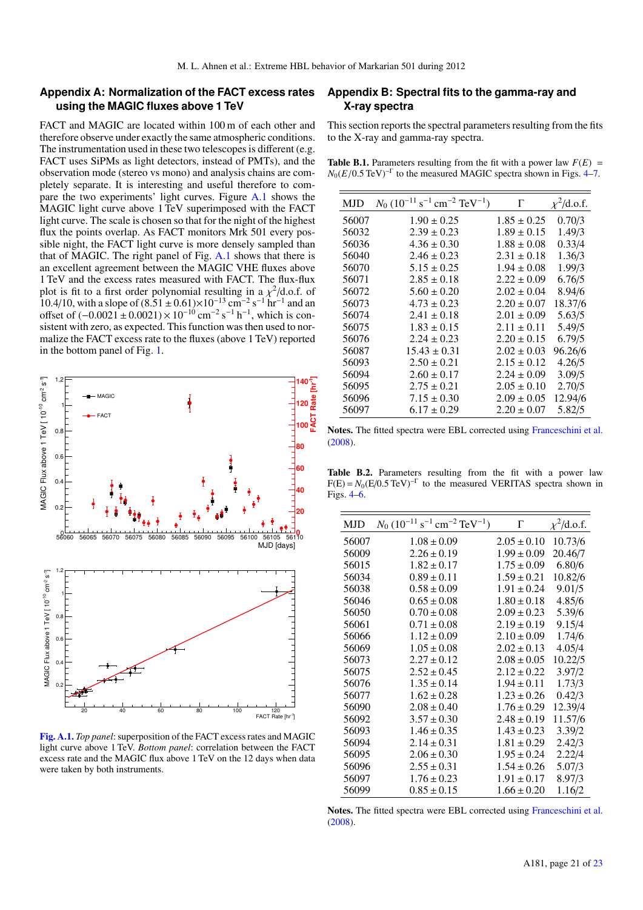## <span id="page-21-0"></span>**Appendix A: Normalization of the FACT excess rates using the MAGIC fluxes above 1 TeV**

FACT and MAGIC are located within 100 m of each other and therefore observe under exactly the same atmospheric conditions. The instrumentation used in these two telescopes is different (e.g. FACT uses SiPMs as light detectors, instead of PMTs), and the observation mode (stereo vs mono) and analysis chains are completely separate. It is interesting and useful therefore to compare the two experiments' light curves. Figure [A.1](#page-21-3) shows the MAGIC light curve above 1 TeV superimposed with the FACT light curve. The scale is chosen so that for the night of the highest flux the points overlap. As FACT monitors Mrk 501 every possible night, the FACT light curve is more densely sampled than that of MAGIC. The right panel of Fig. [A.1](#page-21-3) shows that there is an excellent agreement between the MAGIC VHE fluxes above 1 TeV and the excess rates measured with FACT. The flux-flux plot is fit to a first order polynomial resulting in a  $\chi^2$ /d.o.f. of 10.4/10, with a slope of  $(8.51 \pm 0.61) \times 10^{-13}$  cm<sup>-2</sup> s<sup>-1</sup> hr<sup>-1</sup> and an  $\frac{2}{d}$ .o.f. of offset of  $(-0.0021 + 0.0021) \times 10^{-10}$  cm<sup>-2</sup> s<sup>-1</sup> h<sup>-1</sup>, which is consistent with zero, as expected. This function was then used to normalize the FACT excess rate to the fluxes (above 1 TeV) reported in the bottom panel of Fig. [1.](#page-6-0)



<span id="page-21-3"></span>[Fig. A.1.](https://dexter.edpsciences.org/applet.php?DOI=10.1051/0004-6361/201833704&pdf_id=9) *Top panel*: superposition of the FACT excess rates and MAGIC light curve above 1 TeV. *Bottom panel*: correlation between the FACT excess rate and the MAGIC flux above 1 TeV on the 12 days when data were taken by both instruments.

# **Appendix B: Spectral fits to the gamma-ray and X-ray spectra**

This section reports the spectral parameters resulting from the fits to the X-ray and gamma-ray spectra.

<span id="page-21-1"></span>**Table B.1.** Parameters resulting from the fit with a power law  $F(E)$  =  $N_0(E/0.5 \text{ TeV})^{-\Gamma}$  to the measured MAGIC spectra shown in Figs. [4](#page-8-2)[–7.](#page-12-0)

| <b>MJD</b> | $N_0$ (10 <sup>-11</sup> s <sup>-1</sup> cm <sup>-2</sup> TeV <sup>-1</sup> ) | $\Gamma$        | $\chi^2$ /d.o.f. |
|------------|-------------------------------------------------------------------------------|-----------------|------------------|
|            |                                                                               |                 |                  |
| 56007      | $1.90 \pm 0.25$                                                               | $1.85 \pm 0.25$ | 0.70/3           |
| 56032      | $2.39 \pm 0.23$                                                               | $1.89 \pm 0.15$ | 1.49/3           |
| 56036      | $4.36 \pm 0.30$                                                               | $1.88 \pm 0.08$ | 0.33/4           |
| 56040      | $2.46 \pm 0.23$                                                               | $2.31 \pm 0.18$ | 1.36/3           |
| 56070      | $5.15 \pm 0.25$                                                               | $1.94 \pm 0.08$ | 1.99/3           |
| 56071      | $2.85 \pm 0.18$                                                               | $2.22 \pm 0.09$ | 6.76/5           |
| 56072      | $5.60 \pm 0.20$                                                               | $2.02 \pm 0.04$ | 8.94/6           |
| 56073      | $4.73 \pm 0.23$                                                               | $2.20 \pm 0.07$ | 18.37/6          |
| 56074      | $2.41 \pm 0.18$                                                               | $2.01 \pm 0.09$ | 5.63/5           |
| 56075      | $1.83 \pm 0.15$                                                               | $2.11 \pm 0.11$ | 5.49/5           |
| 56076      | $2.24 \pm 0.23$                                                               | $2.20 \pm 0.15$ | 6.79/5           |
| 56087      | $15.43 \pm 0.31$                                                              | $2.02 \pm 0.03$ | 96.26/6          |
| 56093      | $2.50 \pm 0.21$                                                               | $2.15 \pm 0.12$ | 4.26/5           |
| 56094      | $2.60 \pm 0.17$                                                               | $2.24 \pm 0.09$ | 3.09/5           |
| 56095      | $2.75 \pm 0.21$                                                               | $2.05 \pm 0.10$ | 2.70/5           |
| 56096      | $7.15 \pm 0.30$                                                               | $2.09 \pm 0.05$ | 12.94/6          |
| 56097      | $6.17 \pm 0.29$                                                               | $2.20 \pm 0.07$ | 5.82/5           |
|            |                                                                               |                 |                  |

Notes. The fitted spectra were EBL corrected using [Franceschini et al.](#page-18-17) [\(2008\)](#page-18-17).

<span id="page-21-2"></span>Table B.2. Parameters resulting from the fit with a power law  $F(E) = N_0(E/0.5 \text{ TeV})^{-\Gamma}$  to the measured VERITAS spectra shown in Figs. [4](#page-8-2)[–6.](#page-11-0)

| <b>MJD</b> | $N_0$ (10 <sup>-11</sup> s <sup>-1</sup> cm <sup>-2</sup> TeV <sup>-1</sup> ) | Г               | $\chi^2$ /d.o.f. |
|------------|-------------------------------------------------------------------------------|-----------------|------------------|
| 56007      | $1.08 \pm 0.09$                                                               | $2.05 \pm 0.10$ | 10.73/6          |
| 56009      | $2.26 \pm 0.19$                                                               | $1.99 \pm 0.09$ | 20.46/7          |
| 56015      | $1.82 \pm 0.17$                                                               | $1.75 \pm 0.09$ | 6.80/6           |
| 56034      | $0.89 \pm 0.11$                                                               | $1.59 \pm 0.21$ | 10.82/6          |
| 56038      | $0.58 \pm 0.09$                                                               | $1.91 \pm 0.24$ | 9.01/5           |
| 56046      | $0.65 \pm 0.08$                                                               | $1.80 \pm 0.18$ | 4.85/6           |
| 56050      | $0.70 \pm 0.08$                                                               | $2.09 \pm 0.23$ | 5.39/6           |
| 56061      | $0.71 \pm 0.08$                                                               | $2.19 \pm 0.19$ | 9.15/4           |
| 56066      | $1.12 \pm 0.09$                                                               | $2.10 \pm 0.09$ | 1.74/6           |
| 56069      | $1.05 \pm 0.08$                                                               | $2.02 \pm 0.13$ | 4.05/4           |
| 56073      | $2.27 \pm 0.12$                                                               | $2.08 \pm 0.05$ | 10.22/5          |
| 56075      | $2.52 \pm 0.45$                                                               | $2.12 \pm 0.22$ | 3.97/2           |
| 56076      | $1.35 \pm 0.14$                                                               | $1.94 \pm 0.11$ | 1.73/3           |
| 56077      | $1.62 \pm 0.28$                                                               | $1.23 \pm 0.26$ | 0.42/3           |
| 56090      | $2.08 \pm 0.40$                                                               | $1.76 \pm 0.29$ | 12.39/4          |
| 56092      | $3.57 \pm 0.30$                                                               | $2.48 \pm 0.19$ | 11.57/6          |
| 56093      | $1.46 \pm 0.35$                                                               | $1.43 \pm 0.23$ | 3.39/2           |
| 56094      | $2.14 \pm 0.31$                                                               | $1.81 \pm 0.29$ | 2.42/3           |
| 56095      | $2.06 \pm 0.30$                                                               | $1.95 \pm 0.24$ | 2.22/4           |
| 56096      | $2.55 \pm 0.31$                                                               | $1.54 \pm 0.26$ | 5.07/3           |
| 56097      | $1.76 \pm 0.23$                                                               | $1.91 \pm 0.17$ | 8.97/3           |
| 56099      | $0.85 \pm 0.15$                                                               | $1.66 \pm 0.20$ | 1.16/2           |

Notes. The fitted spectra were EBL corrected using [Franceschini et al.](#page-18-17) [\(2008\)](#page-18-17).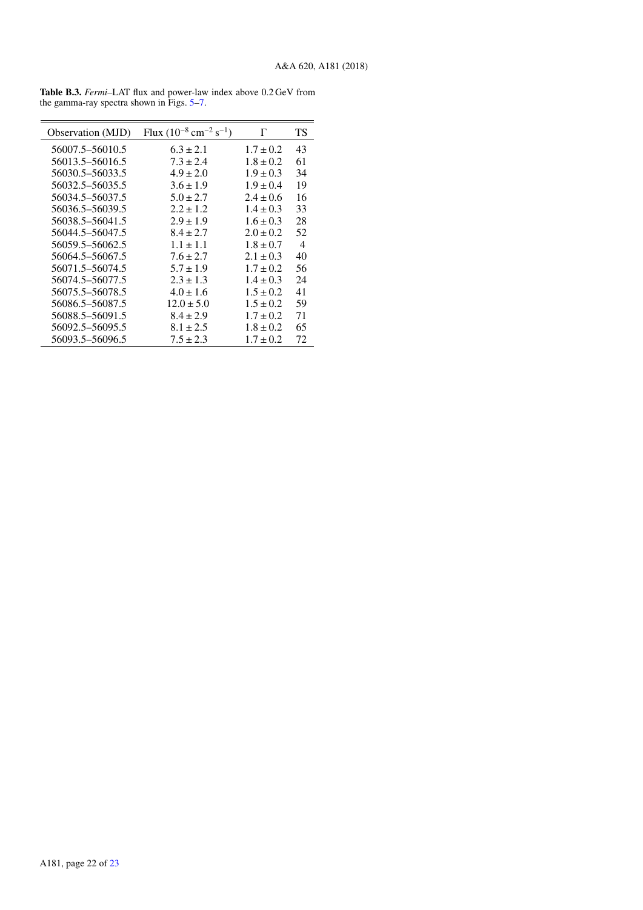| Observation (MJD) | Flux $(10^{-8}$ cm <sup>-2</sup> s <sup>-1</sup> ) | Г             | ТS |
|-------------------|----------------------------------------------------|---------------|----|
| 56007.5–56010.5   | $6.3 \pm 2.1$                                      | $1.7 \pm 0.2$ | 43 |
| 56013.5-56016.5   | $7.3 \pm 2.4$                                      | $1.8 \pm 0.2$ | 61 |
| 56030.5–56033.5   | $4.9 \pm 2.0$                                      | $1.9 \pm 0.3$ | 34 |
| 56032.5–56035.5   | $3.6 \pm 1.9$                                      | $1.9 \pm 0.4$ | 19 |
| 56034.5–56037.5   | $5.0 \pm 2.7$                                      | $2.4 \pm 0.6$ | 16 |
| 56036.5–56039.5   | $2.2 \pm 1.2$                                      | $1.4 \pm 0.3$ | 33 |
| 56038.5–56041.5   | $2.9 \pm 1.9$                                      | $1.6 \pm 0.3$ | 28 |
| 56044.5–56047.5   | $8.4 \pm 2.7$                                      | $2.0 \pm 0.2$ | 52 |
| 56059.5-56062.5   | $1.1 \pm 1.1$                                      | $1.8 \pm 0.7$ | 4  |
| 56064.5–56067.5   | $7.6 \pm 2.7$                                      | $2.1 + 0.3$   | 40 |
| 56071.5–56074.5   | $5.7 \pm 1.9$                                      | $1.7 \pm 0.2$ | 56 |
| 56074.5–56077.5   | $2.3 \pm 1.3$                                      | $1.4 \pm 0.3$ | 24 |
| 56075.5–56078.5   | $4.0 \pm 1.6$                                      | $1.5 \pm 0.2$ | 41 |
| 56086.5–56087.5   | $12.0 \pm 5.0$                                     | $1.5 \pm 0.2$ | 59 |
| 56088.5–56091.5   | $8.4 \pm 2.9$                                      | $1.7 \pm 0.2$ | 71 |
| 56092.5–56095.5   | $8.1 \pm 2.5$                                      | $1.8 \pm 0.2$ | 65 |
| 56093.5–56096.5   | $7.5 \pm 2.3$                                      | $1.7 \pm 0.2$ | 72 |

<span id="page-22-0"></span>Table B.3. *Fermi*–LAT flux and power-law index above 0.2 GeV from the gamma-ray spectra shown in Figs. [5–](#page-10-0)[7.](#page-12-0)